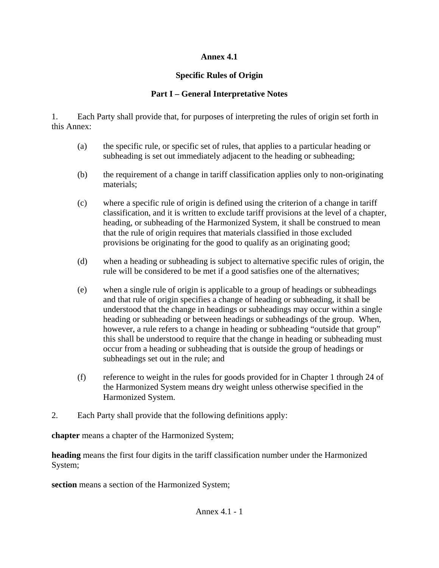## **Annex 4.1**

# **Specific Rules of Origin**

# **Part I – General Interpretative Notes**

1. Each Party shall provide that, for purposes of interpreting the rules of origin set forth in this Annex:

- (a) the specific rule, or specific set of rules, that applies to a particular heading or subheading is set out immediately adjacent to the heading or subheading;
- (b) the requirement of a change in tariff classification applies only to non-originating materials;
- (c) where a specific rule of origin is defined using the criterion of a change in tariff classification, and it is written to exclude tariff provisions at the level of a chapter, heading, or subheading of the Harmonized System, it shall be construed to mean that the rule of origin requires that materials classified in those excluded provisions be originating for the good to qualify as an originating good;
- (d) when a heading or subheading is subject to alternative specific rules of origin, the rule will be considered to be met if a good satisfies one of the alternatives;
- (e) when a single rule of origin is applicable to a group of headings or subheadings and that rule of origin specifies a change of heading or subheading, it shall be understood that the change in headings or subheadings may occur within a single heading or subheading or between headings or subheadings of the group. When, however, a rule refers to a change in heading or subheading "outside that group" this shall be understood to require that the change in heading or subheading must occur from a heading or subheading that is outside the group of headings or subheadings set out in the rule; and
- (f) reference to weight in the rules for goods provided for in Chapter 1 through 24 of the Harmonized System means dry weight unless otherwise specified in the Harmonized System.
- 2. Each Party shall provide that the following definitions apply:

**chapter** means a chapter of the Harmonized System;

**heading** means the first four digits in the tariff classification number under the Harmonized System;

**section** means a section of the Harmonized System;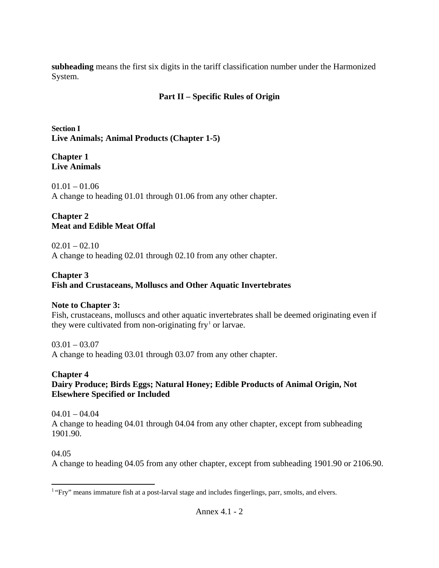**subheading** means the first six digits in the tariff classification number under the Harmonized System.

## **Part II – Specific Rules of Origin**

**Section I Live Animals; Animal Products (Chapter 1-5)** 

#### **Chapter 1 Live Animals**

 $01.01 - 01.06$ A change to heading 01.01 through 01.06 from any other chapter.

### **Chapter 2 Meat and Edible Meat Offal**

 $02.01 - 02.10$ A change to heading 02.01 through 02.10 from any other chapter.

### **Chapter 3**

## **Fish and Crustaceans, Molluscs and Other Aquatic Invertebrates**

## **Note to Chapter 3:**

Fish, crustaceans, molluscs and other aquatic invertebrates shall be deemed originating even if they were cultivated from non-originating  $fry<sup>1</sup>$  $fry<sup>1</sup>$  $fry<sup>1</sup>$  or larvae.

 $03.01 - 03.07$ 

A change to heading 03.01 through 03.07 from any other chapter.

## **Chapter 4**

## **Dairy Produce; Birds Eggs; Natural Honey; Edible Products of Animal Origin, Not Elsewhere Specified or Included**

04.01 – 04.04 A change to heading 04.01 through 04.04 from any other chapter, except from subheading 1901.90.

### 04.05

A change to heading 04.05 from any other chapter, except from subheading 1901.90 or 2106.90.

<span id="page-1-0"></span> $\overline{a}$ <sup>1</sup> "Fry" means immature fish at a post-larval stage and includes fingerlings, parr, smolts, and elvers.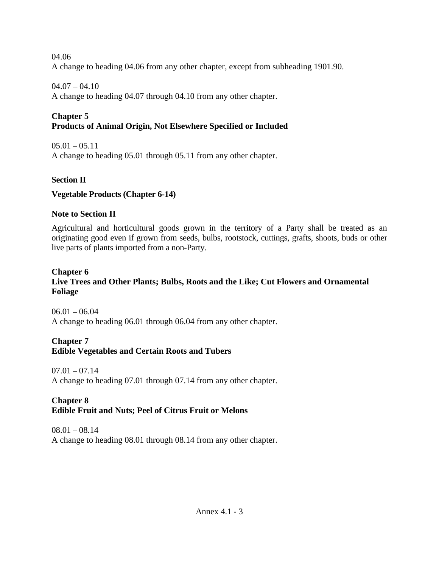04.06 A change to heading 04.06 from any other chapter, except from subheading 1901.90.

### $04.07 - 04.10$

A change to heading 04.07 through 04.10 from any other chapter.

# **Chapter 5**

## **Products of Animal Origin, Not Elsewhere Specified or Included**

 $05.01 - 05.11$ A change to heading 05.01 through 05.11 from any other chapter.

## **Section II**

## **Vegetable Products (Chapter 6-14)**

## **Note to Section II**

Agricultural and horticultural goods grown in the territory of a Party shall be treated as an originating good even if grown from seeds, bulbs, rootstock, cuttings, grafts, shoots, buds or other live parts of plants imported from a non-Party.

# **Chapter 6**

# **Live Trees and Other Plants; Bulbs, Roots and the Like; Cut Flowers and Ornamental Foliage**

 $06.01 - 06.04$ A change to heading 06.01 through 06.04 from any other chapter.

# **Chapter 7**

## **Edible Vegetables and Certain Roots and Tubers**

 $07.01 - 07.14$ A change to heading 07.01 through 07.14 from any other chapter.

## **Chapter 8 Edible Fruit and Nuts; Peel of Citrus Fruit or Melons**

 $08.01 - 08.14$ A change to heading 08.01 through 08.14 from any other chapter.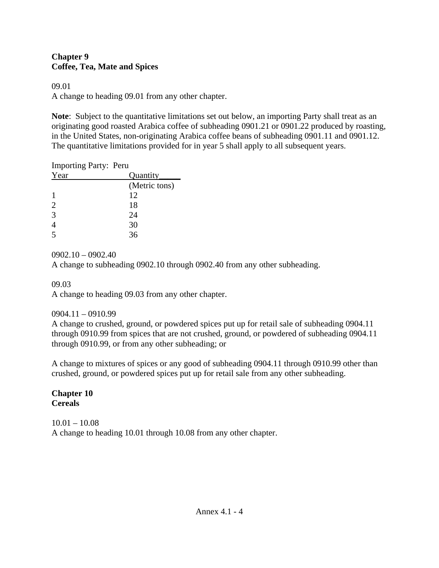### **Chapter 9 Coffee, Tea, Mate and Spices**

### 09.01

A change to heading 09.01 from any other chapter.

**Note**: Subject to the quantitative limitations set out below, an importing Party shall treat as an originating good roasted Arabica coffee of subheading 0901.21 or 0901.22 produced by roasting, in the United States, non-originating Arabica coffee beans of subheading 0901.11 and 0901.12. The quantitative limitations provided for in year 5 shall apply to all subsequent years.

| <b>Importing Party: Peru</b> |               |
|------------------------------|---------------|
| Year                         | Quantity      |
|                              | (Metric tons) |
|                              | 12            |
| 2                            | 18            |
| 3                            | 24            |
|                              | 30            |
|                              | 36            |

### 0902.10 – 0902.40

A change to subheading 0902.10 through 0902.40 from any other subheading.

09.03

A change to heading 09.03 from any other chapter.

## 0904.11 – 0910.99

A change to crushed, ground, or powdered spices put up for retail sale of subheading 0904.11 through 0910.99 from spices that are not crushed, ground, or powdered of subheading 0904.11 through 0910.99, or from any other subheading; or

A change to mixtures of spices or any good of subheading 0904.11 through 0910.99 other than crushed, ground, or powdered spices put up for retail sale from any other subheading.

### **Chapter 10 Cereals**

 $10.01 - 10.08$ A change to heading 10.01 through 10.08 from any other chapter.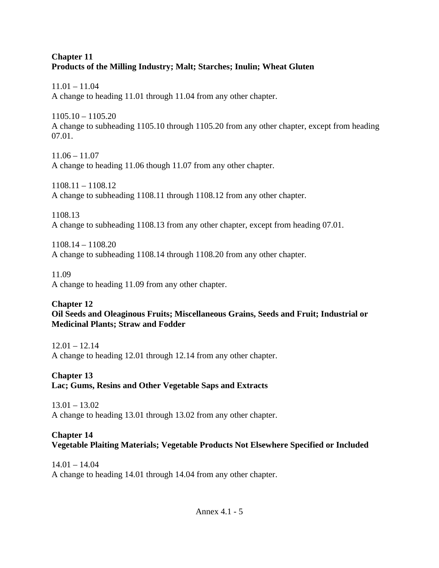### **Chapter 11 Products of the Milling Industry; Malt; Starches; Inulin; Wheat Gluten**

11.01 – 11.04 A change to heading 11.01 through 11.04 from any other chapter.

1105.10 – 1105.20 A change to subheading 1105.10 through 1105.20 from any other chapter, except from heading 07.01.

 $11.06 - 11.07$ A change to heading 11.06 though 11.07 from any other chapter.

1108.11 – 1108.12 A change to subheading 1108.11 through 1108.12 from any other chapter.

1108.13 A change to subheading 1108.13 from any other chapter, except from heading 07.01.

1108.14 – 1108.20 A change to subheading 1108.14 through 1108.20 from any other chapter.

11.09 A change to heading 11.09 from any other chapter.

## **Chapter 12 Oil Seeds and Oleaginous Fruits; Miscellaneous Grains, Seeds and Fruit; Industrial or Medicinal Plants; Straw and Fodder**

 $12.01 - 12.14$ A change to heading 12.01 through 12.14 from any other chapter.

# **Chapter 13 Lac; Gums, Resins and Other Vegetable Saps and Extracts**

13.01 – 13.02 A change to heading 13.01 through 13.02 from any other chapter.

## **Chapter 14 Vegetable Plaiting Materials; Vegetable Products Not Elsewhere Specified or Included**

 $14.01 - 14.04$ A change to heading 14.01 through 14.04 from any other chapter.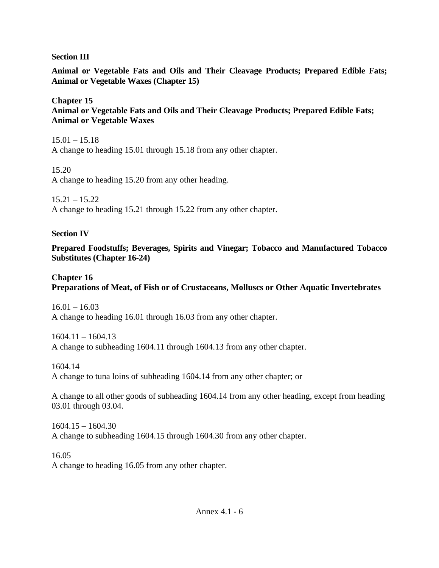### **Section III**

**Animal or Vegetable Fats and Oils and Their Cleavage Products; Prepared Edible Fats; Animal or Vegetable Waxes (Chapter 15)** 

**Chapter 15 Animal or Vegetable Fats and Oils and Their Cleavage Products; Prepared Edible Fats; Animal or Vegetable Waxes**

15.01 – 15.18 A change to heading 15.01 through 15.18 from any other chapter.

15.20 A change to heading 15.20 from any other heading.

 $15.21 - 15.22$ A change to heading 15.21 through 15.22 from any other chapter.

### **Section IV**

**Prepared Foodstuffs; Beverages, Spirits and Vinegar; Tobacco and Manufactured Tobacco Substitutes (Chapter 16-24)**

## **Chapter 16**

## **Preparations of Meat, of Fish or of Crustaceans, Molluscs or Other Aquatic Invertebrates**

 $16.01 - 16.03$ A change to heading 16.01 through 16.03 from any other chapter.

1604.11 – 1604.13 A change to subheading 1604.11 through 1604.13 from any other chapter.

1604.14 A change to tuna loins of subheading 1604.14 from any other chapter; or

A change to all other goods of subheading 1604.14 from any other heading, except from heading 03.01 through 03.04.

1604.15 – 1604.30 A change to subheading 1604.15 through 1604.30 from any other chapter.

16.05 A change to heading 16.05 from any other chapter.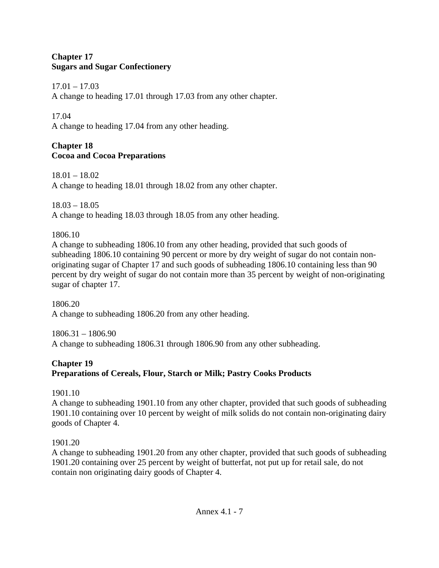### **Chapter 17 Sugars and Sugar Confectionery**

 $17.01 - 17.03$ 

A change to heading 17.01 through 17.03 from any other chapter.

17.04

A change to heading 17.04 from any other heading.

# **Chapter 18 Cocoa and Cocoa Preparations**

18.01 – 18.02 A change to heading 18.01 through 18.02 from any other chapter.

18.03 – 18.05 A change to heading 18.03 through 18.05 from any other heading.

1806.10

A change to subheading 1806.10 from any other heading, provided that such goods of subheading 1806.10 containing 90 percent or more by dry weight of sugar do not contain nonoriginating sugar of Chapter 17 and such goods of subheading 1806.10 containing less than 90 percent by dry weight of sugar do not contain more than 35 percent by weight of non-originating sugar of chapter 17.

1806.20 A change to subheading 1806.20 from any other heading.

1806.31 – 1806.90 A change to subheading 1806.31 through 1806.90 from any other subheading.

# **Chapter 19 Preparations of Cereals, Flour, Starch or Milk; Pastry Cooks Products**

1901.10

A change to subheading 1901.10 from any other chapter, provided that such goods of subheading 1901.10 containing over 10 percent by weight of milk solids do not contain non-originating dairy goods of Chapter 4.

1901.20

A change to subheading 1901.20 from any other chapter, provided that such goods of subheading 1901.20 containing over 25 percent by weight of butterfat, not put up for retail sale, do not contain non originating dairy goods of Chapter 4.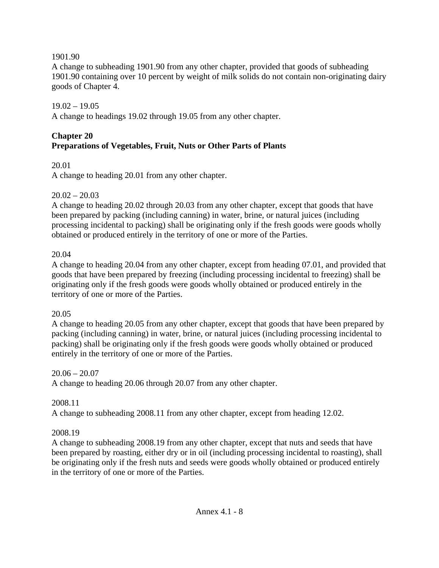#### 1901.90

A change to subheading 1901.90 from any other chapter, provided that goods of subheading 1901.90 containing over 10 percent by weight of milk solids do not contain non-originating dairy goods of Chapter 4.

### $19.02 - 19.05$

A change to headings 19.02 through 19.05 from any other chapter.

### **Chapter 20 Preparations of Vegetables, Fruit, Nuts or Other Parts of Plants**

## 20.01

A change to heading 20.01 from any other chapter.

### $20.02 - 20.03$

A change to heading 20.02 through 20.03 from any other chapter, except that goods that have been prepared by packing (including canning) in water, brine, or natural juices (including processing incidental to packing) shall be originating only if the fresh goods were goods wholly obtained or produced entirely in the territory of one or more of the Parties.

### 20.04

A change to heading 20.04 from any other chapter, except from heading 07.01, and provided that goods that have been prepared by freezing (including processing incidental to freezing) shall be originating only if the fresh goods were goods wholly obtained or produced entirely in the territory of one or more of the Parties.

### 20.05

A change to heading 20.05 from any other chapter, except that goods that have been prepared by packing (including canning) in water, brine, or natural juices (including processing incidental to packing) shall be originating only if the fresh goods were goods wholly obtained or produced entirely in the territory of one or more of the Parties.

### $20.06 - 20.07$

A change to heading 20.06 through 20.07 from any other chapter.

### 2008.11

A change to subheading 2008.11 from any other chapter, except from heading 12.02.

### 2008.19

A change to subheading 2008.19 from any other chapter, except that nuts and seeds that have been prepared by roasting, either dry or in oil (including processing incidental to roasting), shall be originating only if the fresh nuts and seeds were goods wholly obtained or produced entirely in the territory of one or more of the Parties.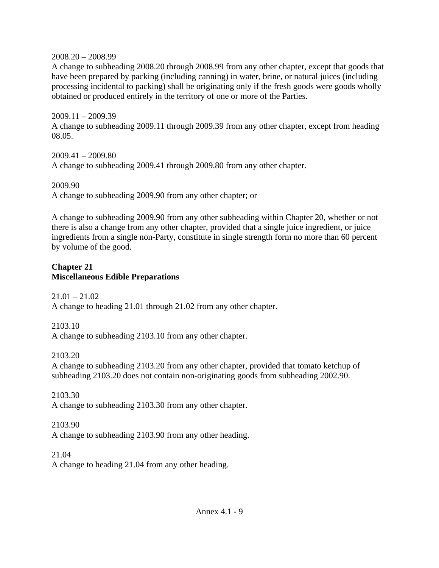2008.20 – 2008.99

A change to subheading 2008.20 through 2008.99 from any other chapter, except that goods that have been prepared by packing (including canning) in water, brine, or natural juices (including processing incidental to packing) shall be originating only if the fresh goods were goods wholly obtained or produced entirely in the territory of one or more of the Parties.

2009.11 – 2009.39 A change to subheading 2009.11 through 2009.39 from any other chapter, except from heading 08.05.

2009.41 – 2009.80 A change to subheading 2009.41 through 2009.80 from any other chapter.

2009.90 A change to subheading 2009.90 from any other chapter; or

A change to subheading 2009.90 from any other subheading within Chapter 20, whether or not there is also a change from any other chapter, provided that a single juice ingredient, or juice ingredients from a single non-Party, constitute in single strength form no more than 60 percent by volume of the good.

## **Chapter 21 Miscellaneous Edible Preparations**

 $21.01 - 21.02$ A change to heading 21.01 through 21.02 from any other chapter.

2103.10 A change to subheading 2103.10 from any other chapter.

2103.20

A change to subheading 2103.20 from any other chapter, provided that tomato ketchup of subheading 2103.20 does not contain non-originating goods from subheading 2002.90.

2103.30 A change to subheading 2103.30 from any other chapter.

2103.90

A change to subheading 2103.90 from any other heading.

21.04

A change to heading 21.04 from any other heading.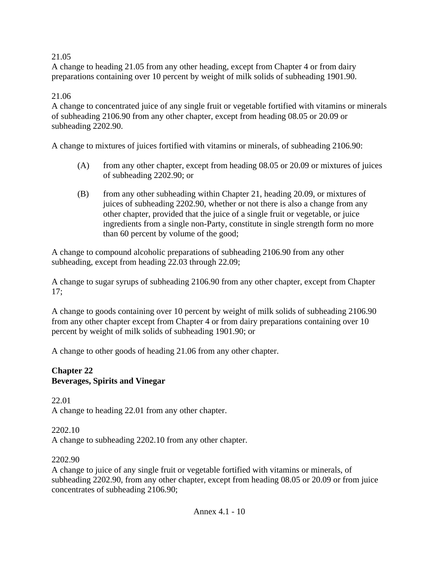### 21.05

A change to heading 21.05 from any other heading, except from Chapter 4 or from dairy preparations containing over 10 percent by weight of milk solids of subheading 1901.90.

### 21.06

A change to concentrated juice of any single fruit or vegetable fortified with vitamins or minerals of subheading 2106.90 from any other chapter, except from heading 08.05 or 20.09 or subheading 2202.90.

A change to mixtures of juices fortified with vitamins or minerals, of subheading 2106.90:

- (A) from any other chapter, except from heading 08.05 or 20.09 or mixtures of juices of subheading 2202.90; or
- (B) from any other subheading within Chapter 21, heading 20.09, or mixtures of juices of subheading 2202.90, whether or not there is also a change from any other chapter, provided that the juice of a single fruit or vegetable, or juice ingredients from a single non-Party, constitute in single strength form no more than 60 percent by volume of the good;

A change to compound alcoholic preparations of subheading 2106.90 from any other subheading, except from heading 22.03 through 22.09;

A change to sugar syrups of subheading 2106.90 from any other chapter, except from Chapter 17;

A change to goods containing over 10 percent by weight of milk solids of subheading 2106.90 from any other chapter except from Chapter 4 or from dairy preparations containing over 10 percent by weight of milk solids of subheading 1901.90; or

A change to other goods of heading 21.06 from any other chapter.

#### **Chapter 22 Beverages, Spirits and Vinegar**

22.01 A change to heading 22.01 from any other chapter.

### 2202.10

A change to subheading 2202.10 from any other chapter.

#### 2202.90

A change to juice of any single fruit or vegetable fortified with vitamins or minerals, of subheading 2202.90, from any other chapter, except from heading 08.05 or 20.09 or from juice concentrates of subheading 2106.90;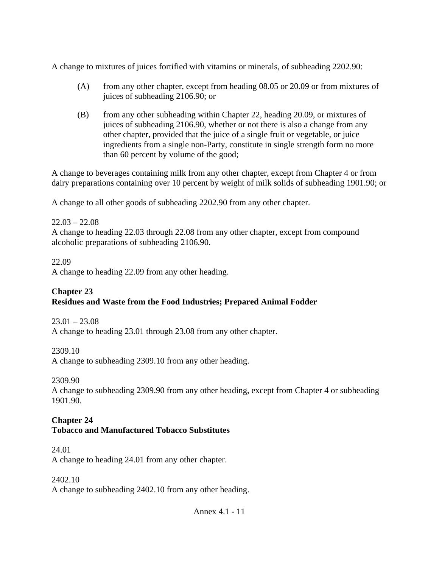A change to mixtures of juices fortified with vitamins or minerals, of subheading 2202.90:

- (A) from any other chapter, except from heading 08.05 or 20.09 or from mixtures of juices of subheading 2106.90; or
- (B) from any other subheading within Chapter 22, heading 20.09, or mixtures of juices of subheading 2106.90, whether or not there is also a change from any other chapter, provided that the juice of a single fruit or vegetable, or juice ingredients from a single non-Party, constitute in single strength form no more than 60 percent by volume of the good;

A change to beverages containing milk from any other chapter, except from Chapter 4 or from dairy preparations containing over 10 percent by weight of milk solids of subheading 1901.90; or

A change to all other goods of subheading 2202.90 from any other chapter.

 $22.03 - 22.08$ A change to heading 22.03 through 22.08 from any other chapter, except from compound alcoholic preparations of subheading 2106.90.

### 22.09

A change to heading 22.09 from any other heading.

### **Chapter 23 Residues and Waste from the Food Industries; Prepared Animal Fodder**

 $23.01 - 23.08$ A change to heading 23.01 through 23.08 from any other chapter.

2309.10 A change to subheading 2309.10 from any other heading.

2309.90

A change to subheading 2309.90 from any other heading, except from Chapter 4 or subheading 1901.90.

#### **Chapter 24 Tobacco and Manufactured Tobacco Substitutes**

## 24.01

A change to heading 24.01 from any other chapter.

2402.10

A change to subheading 2402.10 from any other heading.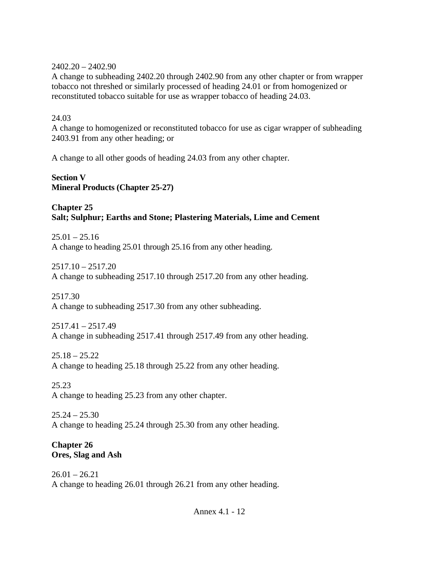### 2402.20 – 2402.90

A change to subheading 2402.20 through 2402.90 from any other chapter or from wrapper tobacco not threshed or similarly processed of heading 24.01 or from homogenized or reconstituted tobacco suitable for use as wrapper tobacco of heading 24.03.

### 24.03

A change to homogenized or reconstituted tobacco for use as cigar wrapper of subheading 2403.91 from any other heading; or

A change to all other goods of heading 24.03 from any other chapter.

### **Section V Mineral Products (Chapter 25-27)**

### **Chapter 25 Salt; Sulphur; Earths and Stone; Plastering Materials, Lime and Cement**

 $25.01 - 25.16$ A change to heading 25.01 through 25.16 from any other heading.

2517.10 – 2517.20 A change to subheading 2517.10 through 2517.20 from any other heading.

### 2517.30

A change to subheading 2517.30 from any other subheading.

2517.41 – 2517.49 A change in subheading 2517.41 through 2517.49 from any other heading.

### $25.18 - 25.22$

A change to heading 25.18 through 25.22 from any other heading.

25.23 A change to heading 25.23 from any other chapter.

 $25.24 - 25.30$ A change to heading 25.24 through 25.30 from any other heading.

### **Chapter 26 Ores, Slag and Ash**

 $26.01 - 26.21$ A change to heading 26.01 through 26.21 from any other heading.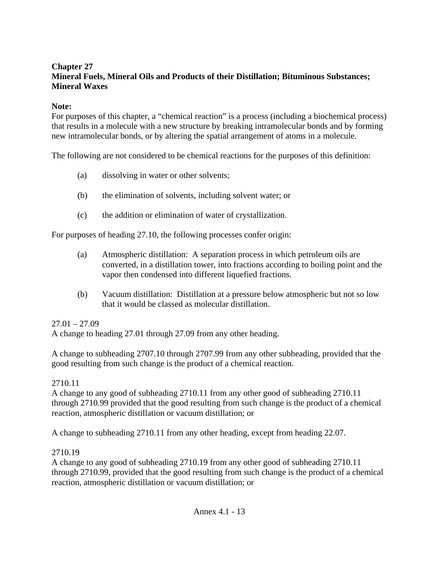### **Chapter 27 Mineral Fuels, Mineral Oils and Products of their Distillation; Bituminous Substances; Mineral Waxes**

### **Note:**

For purposes of this chapter, a "chemical reaction" is a process (including a biochemical process) that results in a molecule with a new structure by breaking intramolecular bonds and by forming new intramolecular bonds, or by altering the spatial arrangement of atoms in a molecule.

The following are not considered to be chemical reactions for the purposes of this definition:

- (a) dissolving in water or other solvents;
- (b) the elimination of solvents, including solvent water; or
- (c) the addition or elimination of water of crystallization.

For purposes of heading 27.10, the following processes confer origin:

- (a) Atmospheric distillation: A separation process in which petroleum oils are converted, in a distillation tower, into fractions according to boiling point and the vapor then condensed into different liquefied fractions.
- (b) Vacuum distillation: Distillation at a pressure below atmospheric but not so low that it would be classed as molecular distillation.

### $27.01 - 27.09$

A change to heading 27.01 through 27.09 from any other heading.

A change to subheading 2707.10 through 2707.99 from any other subheading, provided that the good resulting from such change is the product of a chemical reaction.

#### 2710.11

A change to any good of subheading 2710.11 from any other good of subheading 2710.11 through 2710.99 provided that the good resulting from such change is the product of a chemical reaction, atmospheric distillation or vacuum distillation; or

A change to subheading 2710.11 from any other heading, except from heading 22.07.

#### 2710.19

A change to any good of subheading 2710.19 from any other good of subheading 2710.11 through 2710.99, provided that the good resulting from such change is the product of a chemical reaction, atmospheric distillation or vacuum distillation; or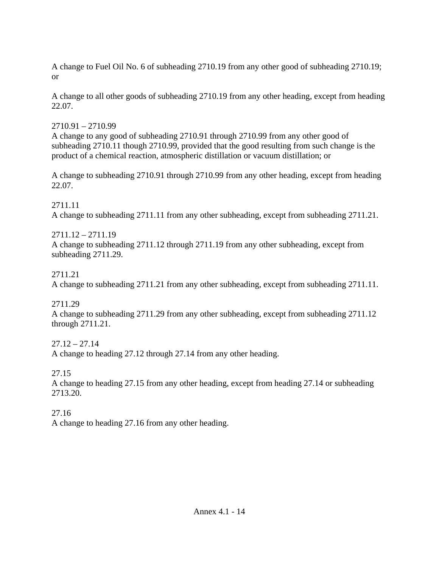A change to Fuel Oil No. 6 of subheading 2710.19 from any other good of subheading 2710.19; or

A change to all other goods of subheading 2710.19 from any other heading, except from heading 22.07.

# 2710.91 – 2710.99

A change to any good of subheading 2710.91 through 2710.99 from any other good of subheading 2710.11 though 2710.99, provided that the good resulting from such change is the product of a chemical reaction, atmospheric distillation or vacuum distillation; or

A change to subheading 2710.91 through 2710.99 from any other heading, except from heading 22.07.

2711.11 A change to subheading 2711.11 from any other subheading, except from subheading 2711.21.

2711.12 – 2711.19 A change to subheading 2711.12 through 2711.19 from any other subheading, except from subheading 2711.29.

# 2711.21

A change to subheading 2711.21 from any other subheading, except from subheading 2711.11.

2711.29

A change to subheading 2711.29 from any other subheading, except from subheading 2711.12 through 2711.21.

 $27.12 - 27.14$ 

A change to heading 27.12 through 27.14 from any other heading.

27.15

A change to heading 27.15 from any other heading, except from heading 27.14 or subheading 2713.20.

27.16

A change to heading 27.16 from any other heading.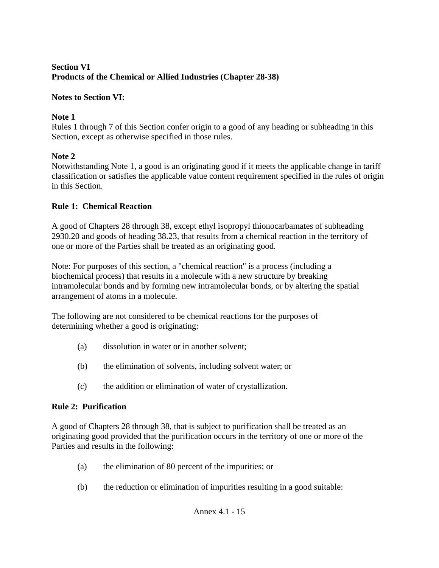### **Section VI Products of the Chemical or Allied Industries (Chapter 28-38)**

## **Notes to Section VI:**

## **Note 1**

Rules 1 through 7 of this Section confer origin to a good of any heading or subheading in this Section, except as otherwise specified in those rules.

## **Note 2**

Notwithstanding Note 1, a good is an originating good if it meets the applicable change in tariff classification or satisfies the applicable value content requirement specified in the rules of origin in this Section.

## **Rule 1: Chemical Reaction**

A good of Chapters 28 through 38, except ethyl isopropyl thionocarbamates of subheading 2930.20 and goods of heading 38.23, that results from a chemical reaction in the territory of one or more of the Parties shall be treated as an originating good.

Note: For purposes of this section, a "chemical reaction" is a process (including a biochemical process) that results in a molecule with a new structure by breaking intramolecular bonds and by forming new intramolecular bonds, or by altering the spatial arrangement of atoms in a molecule.

The following are not considered to be chemical reactions for the purposes of determining whether a good is originating:

- (a) dissolution in water or in another solvent;
- (b) the elimination of solvents, including solvent water; or
- (c) the addition or elimination of water of crystallization.

# **Rule 2: Purification**

A good of Chapters 28 through 38, that is subject to purification shall be treated as an originating good provided that the purification occurs in the territory of one or more of the Parties and results in the following:

- (a) the elimination of 80 percent of the impurities; or
- (b) the reduction or elimination of impurities resulting in a good suitable: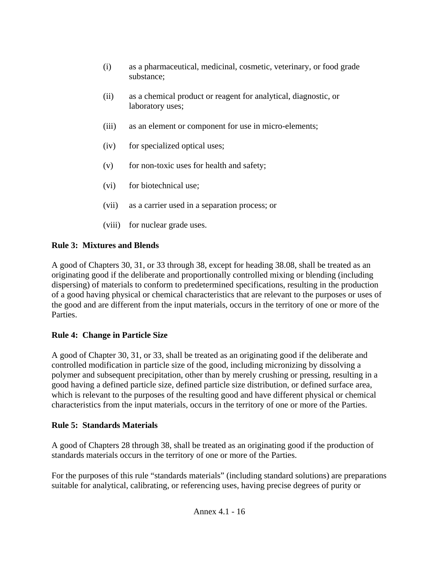- (i) as a pharmaceutical, medicinal, cosmetic, veterinary, or food grade substance;
- (ii) as a chemical product or reagent for analytical, diagnostic, or laboratory uses;
- (iii) as an element or component for use in micro-elements;
- (iv) for specialized optical uses;
- (v) for non-toxic uses for health and safety;
- (vi) for biotechnical use;
- (vii) as a carrier used in a separation process; or
- (viii) for nuclear grade uses.

# **Rule 3: Mixtures and Blends**

A good of Chapters 30, 31, or 33 through 38, except for heading 38.08, shall be treated as an originating good if the deliberate and proportionally controlled mixing or blending (including dispersing) of materials to conform to predetermined specifications, resulting in the production of a good having physical or chemical characteristics that are relevant to the purposes or uses of the good and are different from the input materials, occurs in the territory of one or more of the Parties.

# **Rule 4: Change in Particle Size**

A good of Chapter 30, 31, or 33, shall be treated as an originating good if the deliberate and controlled modification in particle size of the good, including micronizing by dissolving a polymer and subsequent precipitation, other than by merely crushing or pressing, resulting in a good having a defined particle size, defined particle size distribution, or defined surface area, which is relevant to the purposes of the resulting good and have different physical or chemical characteristics from the input materials, occurs in the territory of one or more of the Parties.

# **Rule 5: Standards Materials**

A good of Chapters 28 through 38, shall be treated as an originating good if the production of standards materials occurs in the territory of one or more of the Parties.

For the purposes of this rule "standards materials" (including standard solutions) are preparations suitable for analytical, calibrating, or referencing uses, having precise degrees of purity or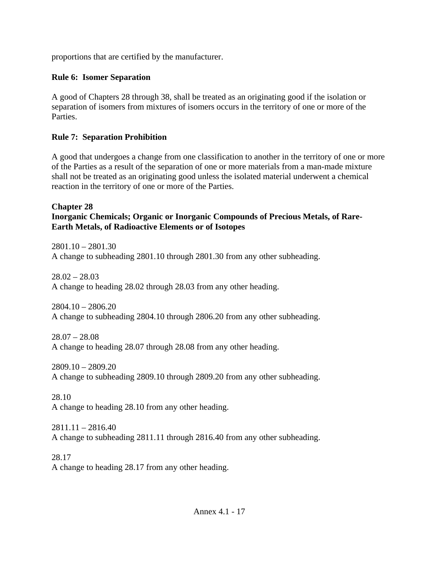proportions that are certified by the manufacturer.

### **Rule 6: Isomer Separation**

A good of Chapters 28 through 38, shall be treated as an originating good if the isolation or separation of isomers from mixtures of isomers occurs in the territory of one or more of the Parties.

### **Rule 7: Separation Prohibition**

A good that undergoes a change from one classification to another in the territory of one or more of the Parties as a result of the separation of one or more materials from a man-made mixture shall not be treated as an originating good unless the isolated material underwent a chemical reaction in the territory of one or more of the Parties.

#### **Chapter 28 Inorganic Chemicals; Organic or Inorganic Compounds of Precious Metals, of Rare-Earth Metals, of Radioactive Elements or of Isotopes**

 $2801.10 - 2801.30$ A change to subheading 2801.10 through 2801.30 from any other subheading.

 $28.02 - 28.03$ A change to heading 28.02 through 28.03 from any other heading.

 $2804.10 - 2806.20$ A change to subheading 2804.10 through 2806.20 from any other subheading.

28.07 – 28.08 A change to heading 28.07 through 28.08 from any other heading.

 $2809.10 - 2809.20$ A change to subheading 2809.10 through 2809.20 from any other subheading.

28.10 A change to heading 28.10 from any other heading.

 $2811.11 - 2816.40$ A change to subheading 2811.11 through 2816.40 from any other subheading.

28.17 A change to heading 28.17 from any other heading.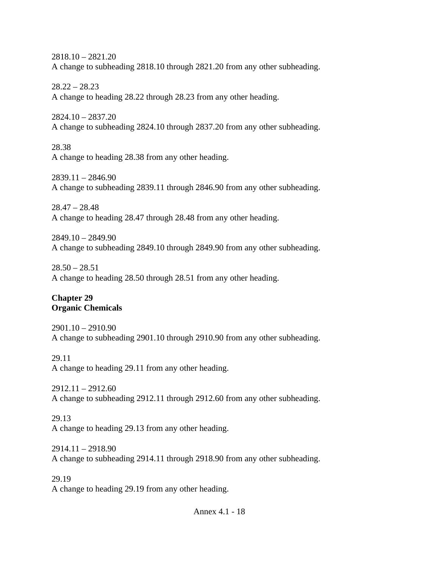2818.10 – 2821.20 A change to subheading 2818.10 through 2821.20 from any other subheading.

 $28.22 - 28.23$ A change to heading 28.22 through 28.23 from any other heading.

2824.10 – 2837.20 A change to subheading 2824.10 through 2837.20 from any other subheading.

28.38 A change to heading 28.38 from any other heading.

2839.11 – 2846.90 A change to subheading 2839.11 through 2846.90 from any other subheading.

28.47 – 28.48 A change to heading 28.47 through 28.48 from any other heading.

2849.10 – 2849.90 A change to subheading 2849.10 through 2849.90 from any other subheading.

 $28.50 - 28.51$ A change to heading 28.50 through 28.51 from any other heading.

### **Chapter 29 Organic Chemicals**

2901.10 – 2910.90 A change to subheading 2901.10 through 2910.90 from any other subheading.

29.11 A change to heading 29.11 from any other heading.

 $2912.11 - 2912.60$ A change to subheading 2912.11 through 2912.60 from any other subheading.

# 29.13

A change to heading 29.13 from any other heading.

2914.11 – 2918.90 A change to subheading 2914.11 through 2918.90 from any other subheading.

29.19 A change to heading 29.19 from any other heading.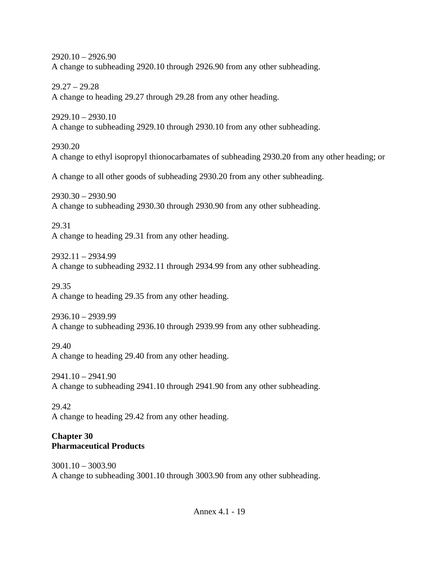2920.10 – 2926.90 A change to subheading 2920.10 through 2926.90 from any other subheading.

 $29.27 - 29.28$ A change to heading 29.27 through 29.28 from any other heading.

2929.10 – 2930.10 A change to subheading 2929.10 through 2930.10 from any other subheading.

2930.20 A change to ethyl isopropyl thionocarbamates of subheading 2930.20 from any other heading; or

A change to all other goods of subheading 2930.20 from any other subheading.

2930.30 – 2930.90 A change to subheading 2930.30 through 2930.90 from any other subheading.

29.31 A change to heading 29.31 from any other heading.

2932.11 – 2934.99 A change to subheading 2932.11 through 2934.99 from any other subheading.

29.35 A change to heading 29.35 from any other heading.

2936.10 – 2939.99 A change to subheading 2936.10 through 2939.99 from any other subheading.

29.40 A change to heading 29.40 from any other heading.

2941.10 – 2941.90 A change to subheading 2941.10 through 2941.90 from any other subheading.

29.42 A change to heading 29.42 from any other heading.

## **Chapter 30 Pharmaceutical Products**

3001.10 – 3003.90 A change to subheading 3001.10 through 3003.90 from any other subheading.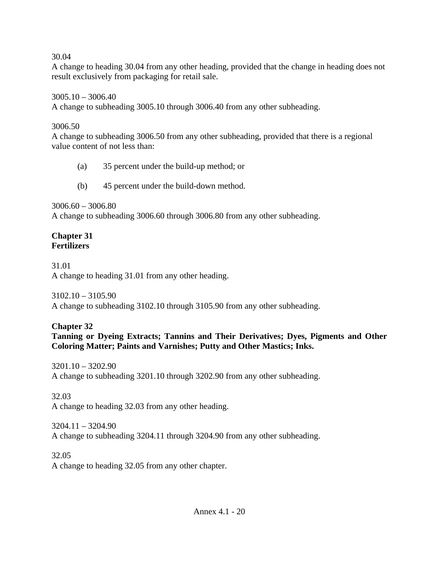### 30.04

A change to heading 30.04 from any other heading, provided that the change in heading does not result exclusively from packaging for retail sale.

3005.10 – 3006.40 A change to subheading 3005.10 through 3006.40 from any other subheading.

### 3006.50

A change to subheading 3006.50 from any other subheading, provided that there is a regional value content of not less than:

- (a) 35 percent under the build-up method; or
- (b) 45 percent under the build-down method.

 $3006.60 - 3006.80$ 

A change to subheading 3006.60 through 3006.80 from any other subheading.

#### **Chapter 31 Fertilizers**

31.01 A change to heading 31.01 from any other heading.

3102.10 – 3105.90 A change to subheading 3102.10 through 3105.90 from any other subheading.

## **Chapter 32**

**Tanning or Dyeing Extracts; Tannins and Their Derivatives; Dyes, Pigments and Other Coloring Matter; Paints and Varnishes; Putty and Other Mastics; Inks.** 

3201.10 – 3202.90 A change to subheading 3201.10 through 3202.90 from any other subheading.

32.03 A change to heading 32.03 from any other heading.

 $3204.11 - 3204.90$ A change to subheading 3204.11 through 3204.90 from any other subheading.

32.05 A change to heading 32.05 from any other chapter.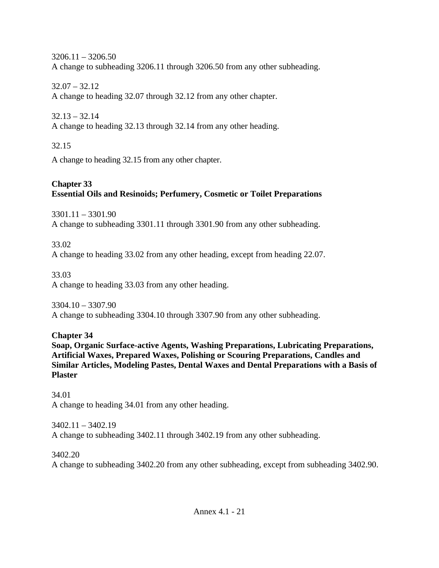$3206.11 - 3206.50$ A change to subheading 3206.11 through 3206.50 from any other subheading.

 $32.07 - 32.12$ A change to heading 32.07 through 32.12 from any other chapter.

 $32.13 - 32.14$ A change to heading 32.13 through 32.14 from any other heading.

32.15

A change to heading 32.15 from any other chapter.

# **Chapter 33 Essential Oils and Resinoids; Perfumery, Cosmetic or Toilet Preparations**

3301.11 – 3301.90 A change to subheading 3301.11 through 3301.90 from any other subheading.

33.02 A change to heading 33.02 from any other heading, except from heading 22.07.

33.03 A change to heading 33.03 from any other heading.

3304.10 – 3307.90 A change to subheading 3304.10 through 3307.90 from any other subheading.

**Chapter 34 Soap, Organic Surface-active Agents, Washing Preparations, Lubricating Preparations, Artificial Waxes, Prepared Waxes, Polishing or Scouring Preparations, Candles and Similar Articles, Modeling Pastes, Dental Waxes and Dental Preparations with a Basis of Plaster** 

34.01 A change to heading 34.01 from any other heading.

3402.11 – 3402.19 A change to subheading 3402.11 through 3402.19 from any other subheading.

3402.20 A change to subheading 3402.20 from any other subheading, except from subheading 3402.90.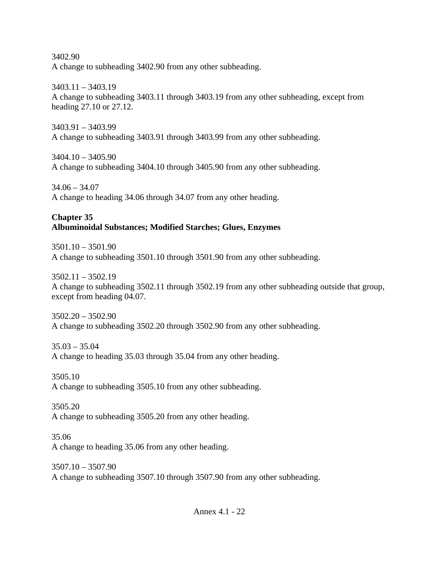3402.90 A change to subheading 3402.90 from any other subheading.

3403.11 – 3403.19 A change to subheading 3403.11 through 3403.19 from any other subheading, except from heading 27.10 or 27.12.

3403.91 – 3403.99 A change to subheading 3403.91 through 3403.99 from any other subheading.

3404.10 – 3405.90 A change to subheading 3404.10 through 3405.90 from any other subheading.

34.06 – 34.07 A change to heading 34.06 through 34.07 from any other heading.

## **Chapter 35 Albuminoidal Substances; Modified Starches; Glues, Enzymes**

3501.10 – 3501.90 A change to subheading 3501.10 through 3501.90 from any other subheading.

 $3502.11 - 3502.19$ A change to subheading 3502.11 through 3502.19 from any other subheading outside that group, except from heading 04.07.

3502.20 – 3502.90 A change to subheading 3502.20 through 3502.90 from any other subheading.

 $35.03 - 35.04$ A change to heading 35.03 through 35.04 from any other heading.

3505.10 A change to subheading 3505.10 from any other subheading.

3505.20 A change to subheading 3505.20 from any other heading.

35.06 A change to heading 35.06 from any other heading.

3507.10 – 3507.90 A change to subheading 3507.10 through 3507.90 from any other subheading.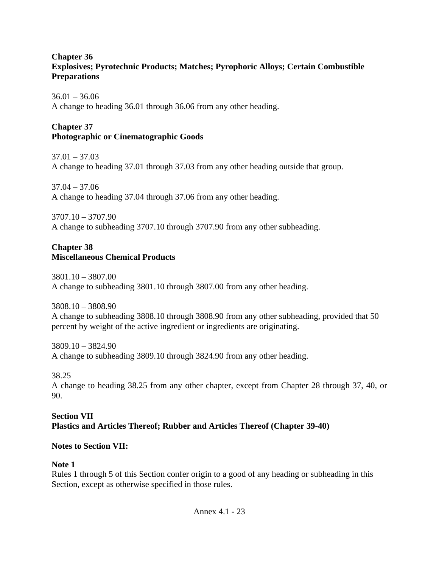### **Chapter 36 Explosives; Pyrotechnic Products; Matches; Pyrophoric Alloys; Certain Combustible Preparations**

 $36.01 - 36.06$ A change to heading 36.01 through 36.06 from any other heading.

## **Chapter 37 Photographic or Cinematographic Goods**

 $37.01 - 37.03$ A change to heading 37.01 through 37.03 from any other heading outside that group.

 $37.04 - 37.06$ A change to heading 37.04 through 37.06 from any other heading.

3707.10 – 3707.90 A change to subheading 3707.10 through 3707.90 from any other subheading.

### **Chapter 38 Miscellaneous Chemical Products**

3801.10 – 3807.00 A change to subheading 3801.10 through 3807.00 from any other heading.

3808.10 – 3808.90 A change to subheading 3808.10 through 3808.90 from any other subheading, provided that 50 percent by weight of the active ingredient or ingredients are originating.

3809.10 – 3824.90 A change to subheading 3809.10 through 3824.90 from any other heading.

38.25

A change to heading 38.25 from any other chapter, except from Chapter 28 through 37, 40, or 90.

### **Section VII Plastics and Articles Thereof; Rubber and Articles Thereof (Chapter 39-40)**

### **Notes to Section VII:**

### **Note 1**

Rules 1 through 5 of this Section confer origin to a good of any heading or subheading in this Section, except as otherwise specified in those rules.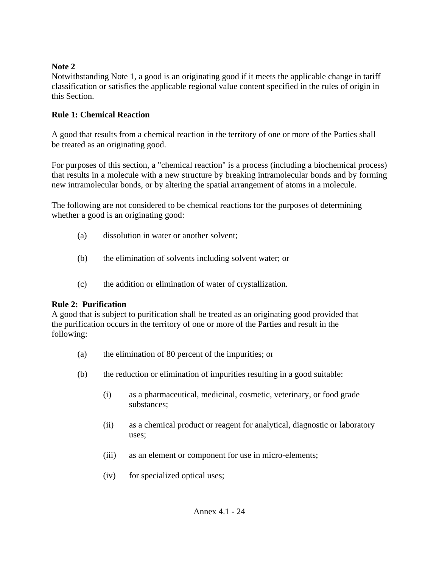### **Note 2**

Notwithstanding Note 1, a good is an originating good if it meets the applicable change in tariff classification or satisfies the applicable regional value content specified in the rules of origin in this Section.

## **Rule 1: Chemical Reaction**

A good that results from a chemical reaction in the territory of one or more of the Parties shall be treated as an originating good.

For purposes of this section, a "chemical reaction" is a process (including a biochemical process) that results in a molecule with a new structure by breaking intramolecular bonds and by forming new intramolecular bonds, or by altering the spatial arrangement of atoms in a molecule.

The following are not considered to be chemical reactions for the purposes of determining whether a good is an originating good:

- (a) dissolution in water or another solvent;
- (b) the elimination of solvents including solvent water; or
- (c) the addition or elimination of water of crystallization.

## **Rule 2: Purification**

A good that is subject to purification shall be treated as an originating good provided that the purification occurs in the territory of one or more of the Parties and result in the following:

- (a) the elimination of 80 percent of the impurities; or
- (b) the reduction or elimination of impurities resulting in a good suitable:
	- (i) as a pharmaceutical, medicinal, cosmetic, veterinary, or food grade substances;
	- (ii) as a chemical product or reagent for analytical, diagnostic or laboratory uses;
	- (iii) as an element or component for use in micro-elements;
	- (iv) for specialized optical uses;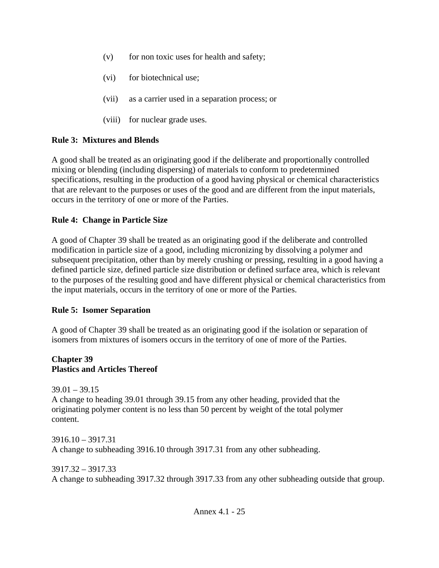- $(v)$  for non toxic uses for health and safety;
- (vi) for biotechnical use;
- (vii) as a carrier used in a separation process; or
- (viii) for nuclear grade uses.

## **Rule 3: Mixtures and Blends**

A good shall be treated as an originating good if the deliberate and proportionally controlled mixing or blending (including dispersing) of materials to conform to predetermined specifications, resulting in the production of a good having physical or chemical characteristics that are relevant to the purposes or uses of the good and are different from the input materials, occurs in the territory of one or more of the Parties.

## **Rule 4: Change in Particle Size**

A good of Chapter 39 shall be treated as an originating good if the deliberate and controlled modification in particle size of a good, including micronizing by dissolving a polymer and subsequent precipitation, other than by merely crushing or pressing, resulting in a good having a defined particle size, defined particle size distribution or defined surface area, which is relevant to the purposes of the resulting good and have different physical or chemical characteristics from the input materials, occurs in the territory of one or more of the Parties.

## **Rule 5: Isomer Separation**

A good of Chapter 39 shall be treated as an originating good if the isolation or separation of isomers from mixtures of isomers occurs in the territory of one of more of the Parties.

### **Chapter 39 Plastics and Articles Thereof**

 $39.01 - 39.15$ A change to heading 39.01 through 39.15 from any other heading, provided that the originating polymer content is no less than 50 percent by weight of the total polymer content.

3916.10 – 3917.31 A change to subheading 3916.10 through 3917.31 from any other subheading.

3917.32 – 3917.33 A change to subheading 3917.32 through 3917.33 from any other subheading outside that group.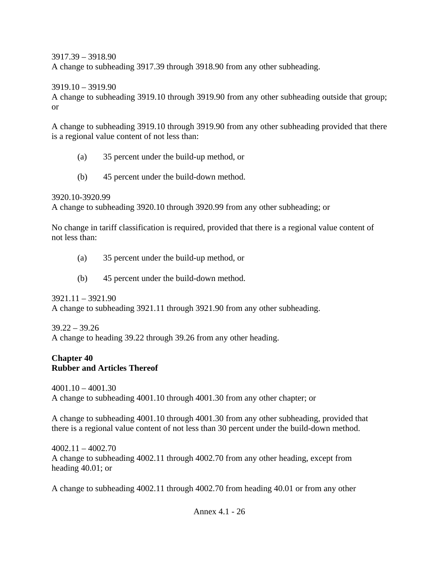#### 3917.39 – 3918.90

A change to subheading 3917.39 through 3918.90 from any other subheading.

3919.10 – 3919.90

A change to subheading 3919.10 through 3919.90 from any other subheading outside that group; or

A change to subheading 3919.10 through 3919.90 from any other subheading provided that there is a regional value content of not less than:

- (a) 35 percent under the build-up method, or
- (b) 45 percent under the build-down method.

3920.10-3920.99

A change to subheading 3920.10 through 3920.99 from any other subheading; or

No change in tariff classification is required, provided that there is a regional value content of not less than:

- (a) 35 percent under the build-up method, or
- (b) 45 percent under the build-down method.

3921.11 – 3921.90 A change to subheading 3921.11 through 3921.90 from any other subheading.

39.22 – 39.26 A change to heading 39.22 through 39.26 from any other heading.

### **Chapter 40 Rubber and Articles Thereof**

4001.10 – 4001.30 A change to subheading 4001.10 through 4001.30 from any other chapter; or

A change to subheading 4001.10 through 4001.30 from any other subheading, provided that there is a regional value content of not less than 30 percent under the build-down method.

4002.11 – 4002.70 A change to subheading 4002.11 through 4002.70 from any other heading, except from heading 40.01; or

A change to subheading 4002.11 through 4002.70 from heading 40.01 or from any other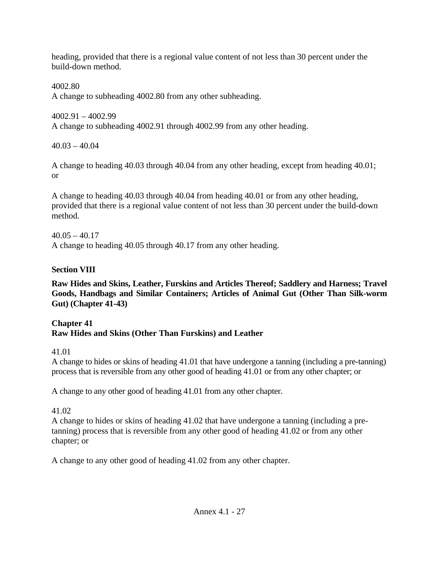heading, provided that there is a regional value content of not less than 30 percent under the build-down method.

4002.80 A change to subheading 4002.80 from any other subheading.

4002.91 – 4002.99 A change to subheading 4002.91 through 4002.99 from any other heading.

 $40.03 - 40.04$ 

A change to heading 40.03 through 40.04 from any other heading, except from heading 40.01; or

A change to heading 40.03 through 40.04 from heading 40.01 or from any other heading, provided that there is a regional value content of not less than 30 percent under the build-down method.

 $40.05 - 40.17$ A change to heading 40.05 through 40.17 from any other heading.

# **Section VIII**

**Raw Hides and Skins, Leather, Furskins and Articles Thereof; Saddlery and Harness; Travel Goods, Handbags and Similar Containers; Articles of Animal Gut (Other Than Silk-worm Gut) (Chapter 41-43)** 

# **Chapter 41 Raw Hides and Skins (Other Than Furskins) and Leather**

41.01

A change to hides or skins of heading 41.01 that have undergone a tanning (including a pre-tanning) process that is reversible from any other good of heading 41.01 or from any other chapter; or

A change to any other good of heading 41.01 from any other chapter.

# 41.02

A change to hides or skins of heading 41.02 that have undergone a tanning (including a pretanning) process that is reversible from any other good of heading 41.02 or from any other chapter; or

A change to any other good of heading 41.02 from any other chapter.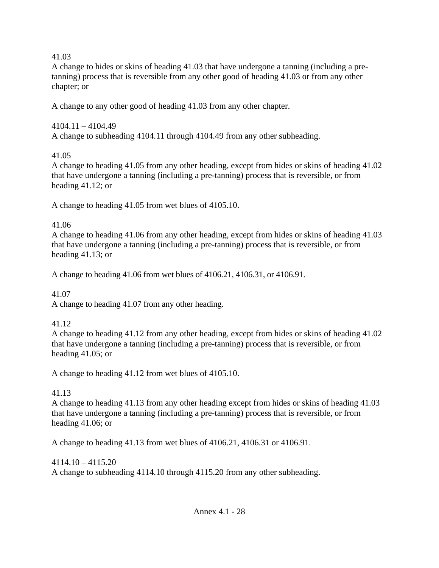41.03

A change to hides or skins of heading 41.03 that have undergone a tanning (including a pretanning) process that is reversible from any other good of heading 41.03 or from any other chapter; or

A change to any other good of heading 41.03 from any other chapter.

## 4104.11 – 4104.49 A change to subheading 4104.11 through 4104.49 from any other subheading.

# 41.05

A change to heading 41.05 from any other heading, except from hides or skins of heading 41.02 that have undergone a tanning (including a pre-tanning) process that is reversible, or from heading 41.12; or

A change to heading 41.05 from wet blues of 4105.10.

# 41.06

A change to heading 41.06 from any other heading, except from hides or skins of heading 41.03 that have undergone a tanning (including a pre-tanning) process that is reversible, or from heading 41.13; or

A change to heading 41.06 from wet blues of 4106.21, 4106.31, or 4106.91.

# 41.07

A change to heading 41.07 from any other heading.

# 41.12

A change to heading 41.12 from any other heading, except from hides or skins of heading 41.02 that have undergone a tanning (including a pre-tanning) process that is reversible, or from heading 41.05; or

A change to heading 41.12 from wet blues of 4105.10.

# 41.13

A change to heading 41.13 from any other heading except from hides or skins of heading 41.03 that have undergone a tanning (including a pre-tanning) process that is reversible, or from heading 41.06; or

A change to heading 41.13 from wet blues of 4106.21, 4106.31 or 4106.91.

# 4114.10 – 4115.20 A change to subheading 4114.10 through 4115.20 from any other subheading.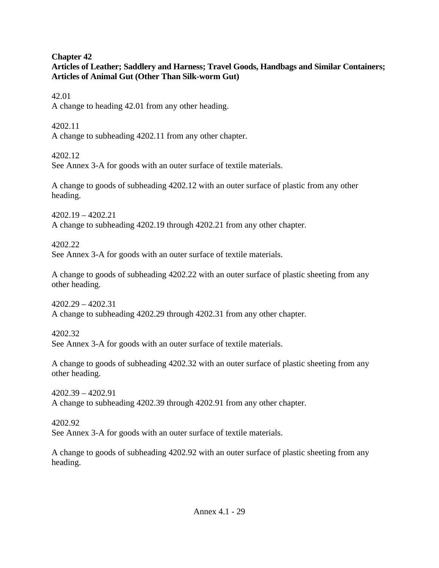#### **Chapter 42**

## **Articles of Leather; Saddlery and Harness; Travel Goods, Handbags and Similar Containers; Articles of Animal Gut (Other Than Silk-worm Gut)**

#### 42.01

A change to heading 42.01 from any other heading.

4202.11 A change to subheading 4202.11 from any other chapter.

4202.12

See Annex 3-A for goods with an outer surface of textile materials.

A change to goods of subheading 4202.12 with an outer surface of plastic from any other heading.

4202.19 – 4202.21 A change to subheading 4202.19 through 4202.21 from any other chapter.

4202.22 See Annex 3-A for goods with an outer surface of textile materials.

A change to goods of subheading 4202.22 with an outer surface of plastic sheeting from any other heading.

4202.29 – 4202.31 A change to subheading 4202.29 through 4202.31 from any other chapter.

4202.32 See Annex 3-A for goods with an outer surface of textile materials.

A change to goods of subheading 4202.32 with an outer surface of plastic sheeting from any other heading.

4202.39 – 4202.91 A change to subheading 4202.39 through 4202.91 from any other chapter.

4202.92 See Annex 3-A for goods with an outer surface of textile materials.

A change to goods of subheading 4202.92 with an outer surface of plastic sheeting from any heading.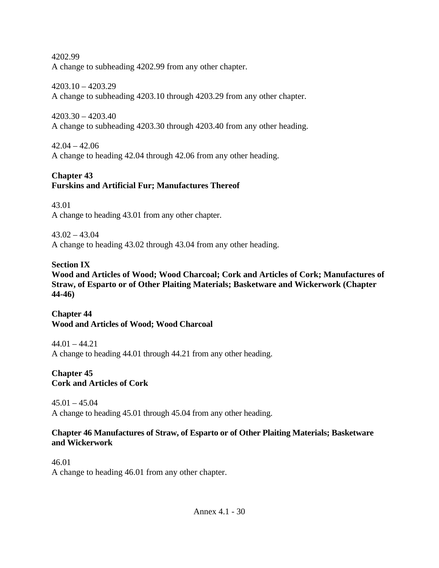4202.99 A change to subheading 4202.99 from any other chapter.

4203.10 – 4203.29 A change to subheading 4203.10 through 4203.29 from any other chapter.

4203.30 – 4203.40 A change to subheading 4203.30 through 4203.40 from any other heading.

 $42.04 - 42.06$ A change to heading 42.04 through 42.06 from any other heading.

## **Chapter 43 Furskins and Artificial Fur; Manufactures Thereof**

43.01 A change to heading 43.01 from any other chapter.

 $43.02 - 43.04$ A change to heading 43.02 through 43.04 from any other heading.

## **Section IX**

**Wood and Articles of Wood; Wood Charcoal; Cork and Articles of Cork; Manufactures of Straw, of Esparto or of Other Plaiting Materials; Basketware and Wickerwork (Chapter 44-46)** 

**Chapter 44 Wood and Articles of Wood; Wood Charcoal** 

 $44.01 - 44.21$ A change to heading 44.01 through 44.21 from any other heading.

**Chapter 45 Cork and Articles of Cork** 

45.01 – 45.04 A change to heading 45.01 through 45.04 from any other heading.

### **Chapter 46 Manufactures of Straw, of Esparto or of Other Plaiting Materials; Basketware and Wickerwork**

46.01 A change to heading 46.01 from any other chapter.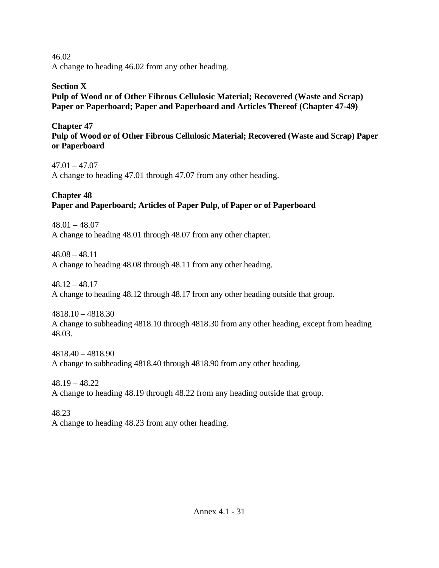46.02 A change to heading 46.02 from any other heading.

### **Section X Pulp of Wood or of Other Fibrous Cellulosic Material; Recovered (Waste and Scrap) Paper or Paperboard; Paper and Paperboard and Articles Thereof (Chapter 47-49)**

**Chapter 47 Pulp of Wood or of Other Fibrous Cellulosic Material; Recovered (Waste and Scrap) Paper or Paperboard** 

47.01 – 47.07 A change to heading 47.01 through 47.07 from any other heading.

# **Chapter 48 Paper and Paperboard; Articles of Paper Pulp, of Paper or of Paperboard**

48.01 – 48.07 A change to heading 48.01 through 48.07 from any other chapter.

48.08 – 48.11 A change to heading 48.08 through 48.11 from any other heading.

48.12 – 48.17 A change to heading 48.12 through 48.17 from any other heading outside that group.

4818.10 – 4818.30 A change to subheading 4818.10 through 4818.30 from any other heading, except from heading 48.03.

4818.40 – 4818.90 A change to subheading 4818.40 through 4818.90 from any other heading.

48.19 – 48.22 A change to heading 48.19 through 48.22 from any heading outside that group.

48.23 A change to heading 48.23 from any other heading.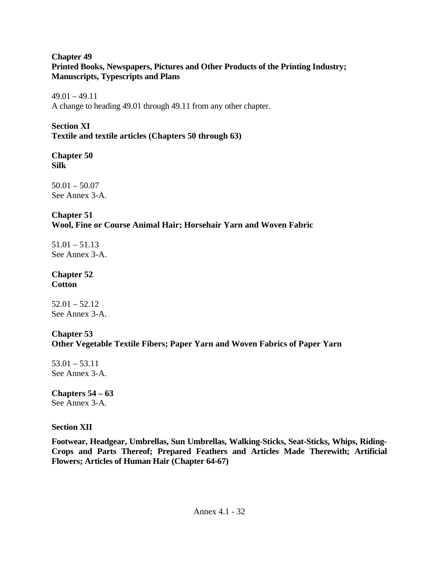### **Chapter 49 Printed Books, Newspapers, Pictures and Other Products of the Printing Industry; Manuscripts, Typescripts and Plans**

 $49.01 - 49.11$ A change to heading 49.01 through 49.11 from any other chapter.

**Section XI Textile and textile articles (Chapters 50 through 63)** 

**Chapter 50 Silk** 

 $50.01 - 50.07$ See Annex 3-A.

# **Chapter 51**

**Wool, Fine or Course Animal Hair; Horsehair Yarn and Woven Fabric**

 $51.01 - 51.13$ See Annex 3-A.

### **Chapter 52 Cotton**

 $52.01 - 52.12$ See Annex 3-A.

# **Chapter 53**

## **Other Vegetable Textile Fibers; Paper Yarn and Woven Fabrics of Paper Yarn**

 $53.01 - 53.11$ See Annex 3-A.

# **Chapters 54 – 63**

See Annex 3-A.

## **Section XII**

**Footwear, Headgear, Umbrellas, Sun Umbrellas, Walking-Sticks, Seat-Sticks, Whips, Riding-Crops and Parts Thereof; Prepared Feathers and Articles Made Therewith; Artificial Flowers; Articles of Human Hair (Chapter 64-67)**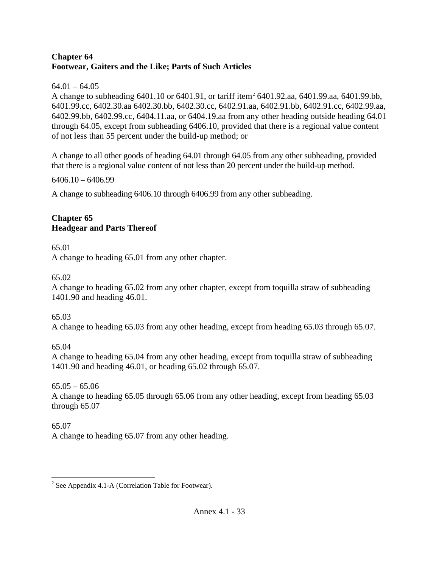### **Chapter 64 Footwear, Gaiters and the Like; Parts of Such Articles**

## $64.01 - 64.05$

A change to subheading 6401.10 or 6401.91, or tariff item<sup>[2](#page-32-0)</sup> 6401.92.aa, 6401.99.aa, 6401.99.bb, 6401.99.cc, 6402.30.aa 6402.30.bb, 6402.30.cc, 6402.91.aa, 6402.91.bb, 6402.91.cc, 6402.99.aa, 6402.99.bb, 6402.99.cc, 6404.11.aa, or 6404.19.aa from any other heading outside heading 64.01 through 64.05, except from subheading 6406.10, provided that there is a regional value content of not less than 55 percent under the build-up method; or

A change to all other goods of heading 64.01 through 64.05 from any other subheading, provided that there is a regional value content of not less than 20 percent under the build-up method.

6406.10 – 6406.99

A change to subheading 6406.10 through 6406.99 from any other subheading.

## **Chapter 65 Headgear and Parts Thereof**

65.01

A change to heading 65.01 from any other chapter.

65.02

A change to heading 65.02 from any other chapter, except from toquilla straw of subheading 1401.90 and heading 46.01.

65.03

A change to heading 65.03 from any other heading, except from heading 65.03 through 65.07.

65.04

A change to heading 65.04 from any other heading, except from toquilla straw of subheading 1401.90 and heading 46.01, or heading 65.02 through 65.07.

 $65.05 - 65.06$ A change to heading 65.05 through 65.06 from any other heading, except from heading 65.03 through 65.07

# 65.07

A change to heading 65.07 from any other heading.

<span id="page-32-0"></span> $\overline{a}$ <sup>2</sup> See Appendix 4.1-A (Correlation Table for Footwear).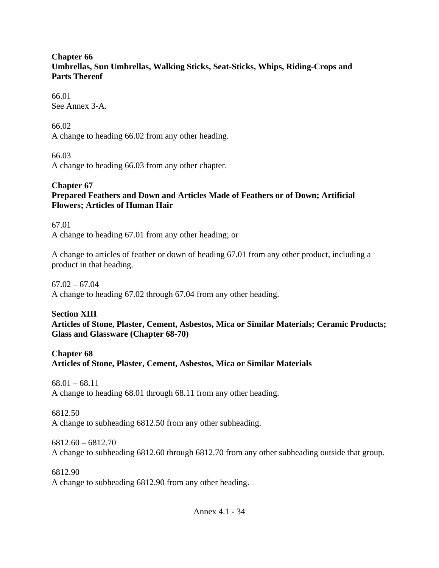#### **Chapter 66 Umbrellas, Sun Umbrellas, Walking Sticks, Seat-Sticks, Whips, Riding-Crops and Parts Thereof**

66.01 See Annex 3-A.

66.02 A change to heading 66.02 from any other heading.

66.03 A change to heading 66.03 from any other chapter.

#### **Chapter 67 Prepared Feathers and Down and Articles Made of Feathers or of Down; Artificial Flowers; Articles of Human Hair**

67.01 A change to heading 67.01 from any other heading; or

A change to articles of feather or down of heading 67.01 from any other product, including a product in that heading.

 $67.02 - 67.04$ 

A change to heading 67.02 through 67.04 from any other heading.

**Section XIII Articles of Stone, Plaster, Cement, Asbestos, Mica or Similar Materials; Ceramic Products; Glass and Glassware (Chapter 68-70)** 

**Chapter 68 Articles of Stone, Plaster, Cement, Asbestos, Mica or Similar Materials** 

 $68.01 - 68.11$ A change to heading 68.01 through 68.11 from any other heading.

6812.50 A change to subheading 6812.50 from any other subheading.

6812.60 – 6812.70 A change to subheading 6812.60 through 6812.70 from any other subheading outside that group.

6812.90 A change to subheading 6812.90 from any other heading.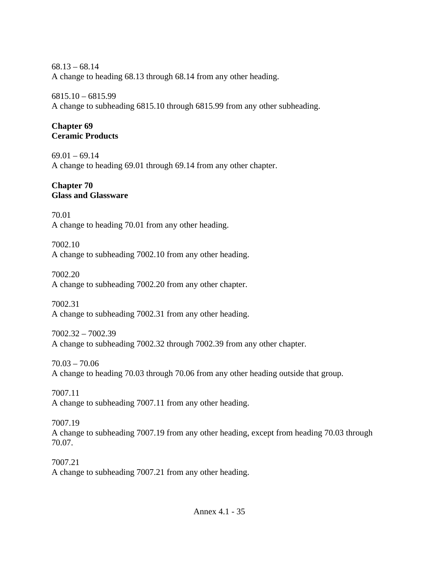68.13 – 68.14 A change to heading 68.13 through 68.14 from any other heading.

6815.10 – 6815.99 A change to subheading 6815.10 through 6815.99 from any other subheading.

## **Chapter 69 Ceramic Products**

 $69.01 - 69.14$ A change to heading 69.01 through 69.14 from any other chapter.

### **Chapter 70 Glass and Glassware**

70.01 A change to heading 70.01 from any other heading.

7002.10 A change to subheading 7002.10 from any other heading.

7002.20 A change to subheading 7002.20 from any other chapter.

7002.31 A change to subheading 7002.31 from any other heading.

7002.32 – 7002.39 A change to subheading 7002.32 through 7002.39 from any other chapter.

70.03 – 70.06 A change to heading 70.03 through 70.06 from any other heading outside that group.

7007.11 A change to subheading 7007.11 from any other heading.

7007.19 A change to subheading 7007.19 from any other heading, except from heading 70.03 through 70.07.

7007.21 A change to subheading 7007.21 from any other heading.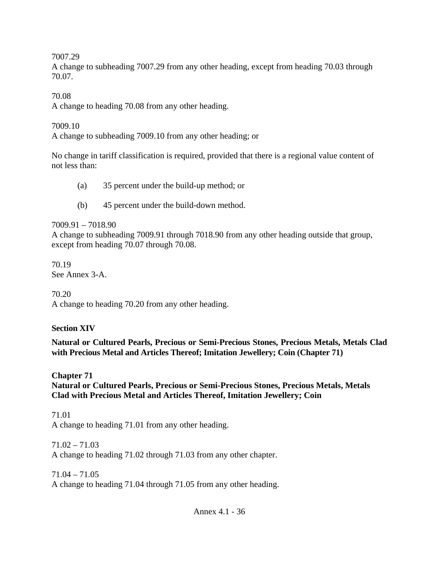7007.29

A change to subheading 7007.29 from any other heading, except from heading 70.03 through 70.07.

70.08

A change to heading 70.08 from any other heading.

7009.10

A change to subheading 7009.10 from any other heading; or

No change in tariff classification is required, provided that there is a regional value content of not less than:

- (a) 35 percent under the build-up method; or
- (b) 45 percent under the build-down method.

7009.91 – 7018.90

A change to subheading 7009.91 through 7018.90 from any other heading outside that group, except from heading 70.07 through 70.08.

70.19 See Annex 3-A.

70.20

A change to heading 70.20 from any other heading.

# **Section XIV**

**Natural or Cultured Pearls, Precious or Semi-Precious Stones, Precious Metals, Metals Clad with Precious Metal and Articles Thereof; Imitation Jewellery; Coin (Chapter 71)** 

**Chapter 71 Natural or Cultured Pearls, Precious or Semi-Precious Stones, Precious Metals, Metals Clad with Precious Metal and Articles Thereof, Imitation Jewellery; Coin** 

71.01

A change to heading 71.01 from any other heading.

 $71.02 - 71.03$ A change to heading 71.02 through 71.03 from any other chapter.

71.04 – 71.05 A change to heading 71.04 through 71.05 from any other heading.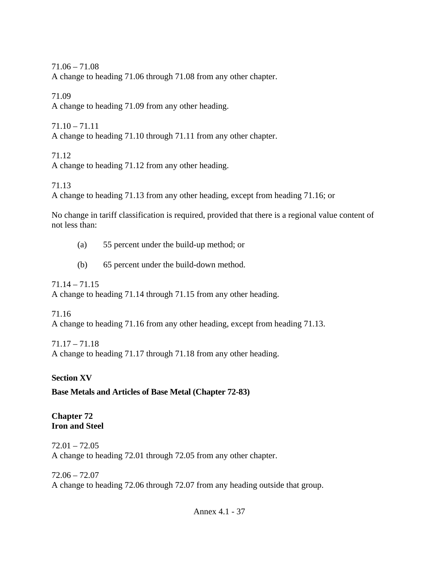71.06 – 71.08 A change to heading 71.06 through 71.08 from any other chapter.

71.09 A change to heading 71.09 from any other heading.

71.10 – 71.11 A change to heading 71.10 through 71.11 from any other chapter.

71.12 A change to heading 71.12 from any other heading.

71.13

A change to heading 71.13 from any other heading, except from heading 71.16; or

No change in tariff classification is required, provided that there is a regional value content of not less than:

(a) 55 percent under the build-up method; or

(b) 65 percent under the build-down method.

71.14 – 71.15

A change to heading 71.14 through 71.15 from any other heading.

71.16

A change to heading 71.16 from any other heading, except from heading 71.13.

71.17 – 71.18 A change to heading 71.17 through 71.18 from any other heading.

## **Section XV**

**Base Metals and Articles of Base Metal (Chapter 72-83)** 

#### **Chapter 72 Iron and Steel**

 $72.01 - 72.05$ A change to heading 72.01 through 72.05 from any other chapter.

72.06 – 72.07 A change to heading 72.06 through 72.07 from any heading outside that group.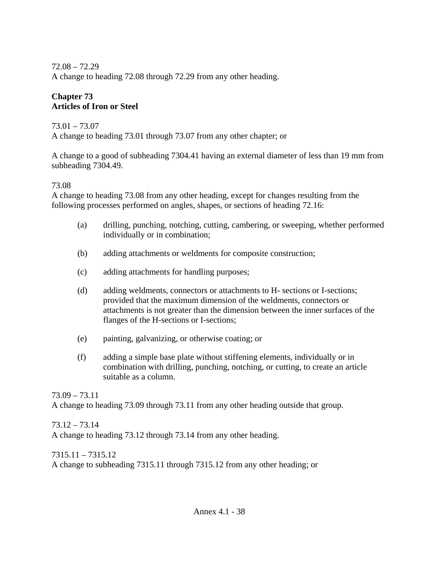72.08 – 72.29 A change to heading 72.08 through 72.29 from any other heading.

### **Chapter 73 Articles of Iron or Steel**

### 73.01 – 73.07

A change to heading 73.01 through 73.07 from any other chapter; or

A change to a good of subheading 7304.41 having an external diameter of less than 19 mm from subheading 7304.49.

### 73.08

A change to heading 73.08 from any other heading, except for changes resulting from the following processes performed on angles, shapes, or sections of heading 72.16:

- (a) drilling, punching, notching, cutting, cambering, or sweeping, whether performed individually or in combination;
- (b) adding attachments or weldments for composite construction;
- (c) adding attachments for handling purposes;
- (d) adding weldments, connectors or attachments to H- sections or I-sections; provided that the maximum dimension of the weldments, connectors or attachments is not greater than the dimension between the inner surfaces of the flanges of the H-sections or I-sections;
- (e) painting, galvanizing, or otherwise coating; or
- (f) adding a simple base plate without stiffening elements, individually or in combination with drilling, punching, notching, or cutting, to create an article suitable as a column.

73.09 – 73.11 A change to heading 73.09 through 73.11 from any other heading outside that group.

73.12 – 73.14 A change to heading 73.12 through 73.14 from any other heading.

7315.11 – 7315.12 A change to subheading 7315.11 through 7315.12 from any other heading; or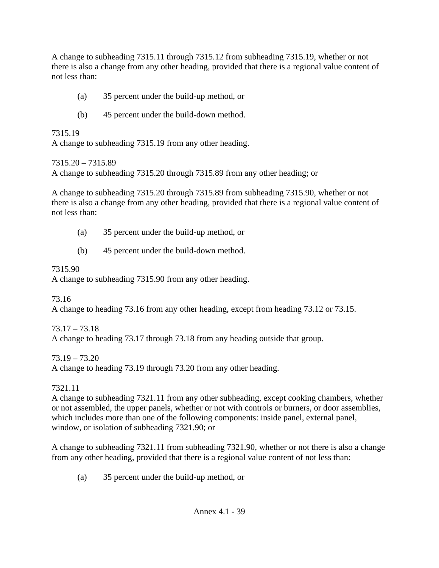A change to subheading 7315.11 through 7315.12 from subheading 7315.19, whether or not there is also a change from any other heading, provided that there is a regional value content of not less than:

- (a) 35 percent under the build-up method, or
- (b) 45 percent under the build-down method.

### 7315.19

A change to subheading 7315.19 from any other heading.

7315.20 – 7315.89

A change to subheading 7315.20 through 7315.89 from any other heading; or

A change to subheading 7315.20 through 7315.89 from subheading 7315.90, whether or not there is also a change from any other heading, provided that there is a regional value content of not less than:

- (a) 35 percent under the build-up method, or
- (b) 45 percent under the build-down method.

### 7315.90

A change to subheading 7315.90 from any other heading.

73.16

A change to heading 73.16 from any other heading, except from heading 73.12 or 73.15.

## 73.17 – 73.18

A change to heading 73.17 through 73.18 from any heading outside that group.

## 73.19 – 73.20

A change to heading 73.19 through 73.20 from any other heading.

### 7321.11

A change to subheading 7321.11 from any other subheading, except cooking chambers, whether or not assembled, the upper panels, whether or not with controls or burners, or door assemblies, which includes more than one of the following components: inside panel, external panel, window, or isolation of subheading 7321.90; or

A change to subheading 7321.11 from subheading 7321.90, whether or not there is also a change from any other heading, provided that there is a regional value content of not less than:

(a) 35 percent under the build-up method, or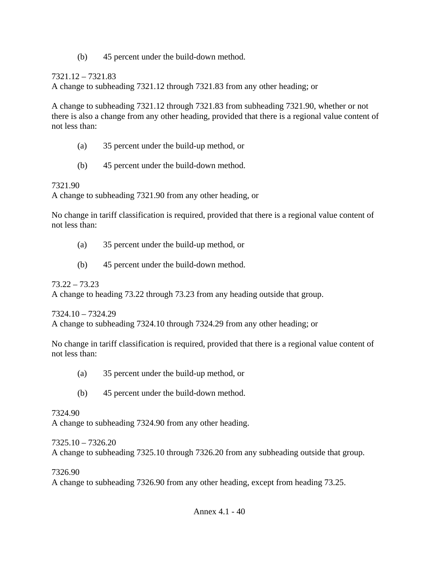(b) 45 percent under the build-down method.

## 7321.12 – 7321.83

A change to subheading 7321.12 through 7321.83 from any other heading; or

A change to subheading 7321.12 through 7321.83 from subheading 7321.90, whether or not there is also a change from any other heading, provided that there is a regional value content of not less than:

- (a) 35 percent under the build-up method, or
- (b) 45 percent under the build-down method.

## 7321.90

A change to subheading 7321.90 from any other heading, or

No change in tariff classification is required, provided that there is a regional value content of not less than:

- (a) 35 percent under the build-up method, or
- (b) 45 percent under the build-down method.

73.22 – 73.23

A change to heading 73.22 through 73.23 from any heading outside that group.

7324.10 – 7324.29

A change to subheading 7324.10 through 7324.29 from any other heading; or

No change in tariff classification is required, provided that there is a regional value content of not less than:

- (a) 35 percent under the build-up method, or
- (b) 45 percent under the build-down method.

7324.90

A change to subheading 7324.90 from any other heading.

## 7325.10 – 7326.20

A change to subheading 7325.10 through 7326.20 from any subheading outside that group.

7326.90

A change to subheading 7326.90 from any other heading, except from heading 73.25.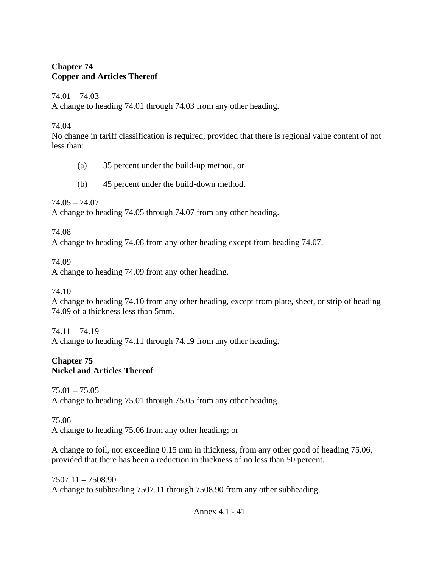#### **Chapter 74 Copper and Articles Thereof**

#### $74.01 - 74.03$

A change to heading 74.01 through 74.03 from any other heading.

#### 74.04

No change in tariff classification is required, provided that there is regional value content of not less than:

- (a) 35 percent under the build-up method, or
- (b) 45 percent under the build-down method.

74.05 – 74.07

A change to heading 74.05 through 74.07 from any other heading.

74.08

A change to heading 74.08 from any other heading except from heading 74.07.

74.09

A change to heading 74.09 from any other heading.

74.10

A change to heading 74.10 from any other heading, except from plate, sheet, or strip of heading 74.09 of a thickness less than 5mm.

 $74.11 - 74.19$ 

A change to heading 74.11 through 74.19 from any other heading.

### **Chapter 75 Nickel and Articles Thereof**

75.01 – 75.05 A change to heading 75.01 through 75.05 from any other heading.

75.06

A change to heading 75.06 from any other heading; or

A change to foil, not exceeding 0.15 mm in thickness, from any other good of heading 75.06, provided that there has been a reduction in thickness of no less than 50 percent.

7507.11 – 7508.90 A change to subheading 7507.11 through 7508.90 from any other subheading.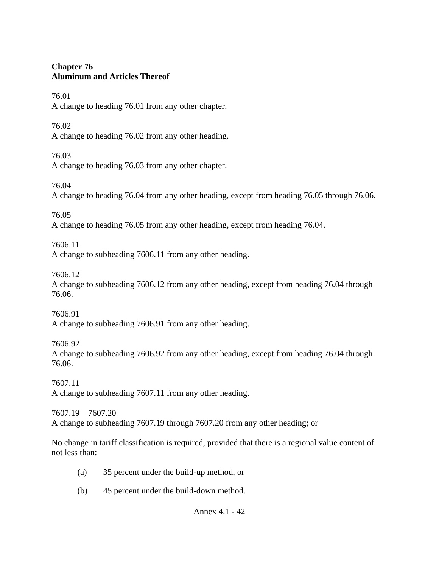### **Chapter 76 Aluminum and Articles Thereof**

76.01

A change to heading 76.01 from any other chapter.

76.02

A change to heading 76.02 from any other heading.

76.03

A change to heading 76.03 from any other chapter.

76.04

A change to heading 76.04 from any other heading, except from heading 76.05 through 76.06.

76.05

A change to heading 76.05 from any other heading, except from heading 76.04.

7606.11

A change to subheading 7606.11 from any other heading.

7606.12

A change to subheading 7606.12 from any other heading, except from heading 76.04 through 76.06.

7606.91 A change to subheading 7606.91 from any other heading.

7606.92 A change to subheading 7606.92 from any other heading, except from heading 76.04 through 76.06.

7607.11 A change to subheading 7607.11 from any other heading.

7607.19 – 7607.20 A change to subheading 7607.19 through 7607.20 from any other heading; or

No change in tariff classification is required, provided that there is a regional value content of not less than:

- (a) 35 percent under the build-up method, or
- (b) 45 percent under the build-down method.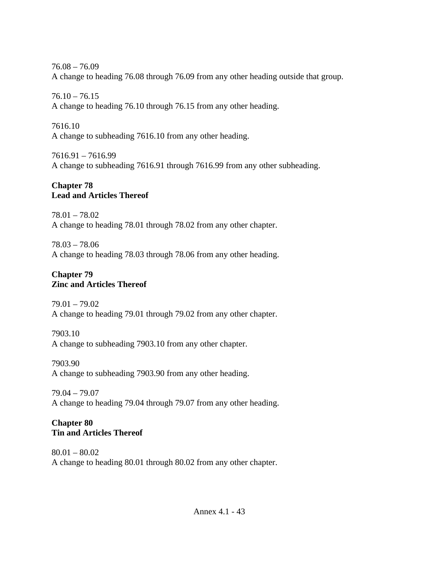76.08 – 76.09 A change to heading 76.08 through 76.09 from any other heading outside that group.

 $76.10 - 76.15$ A change to heading 76.10 through 76.15 from any other heading.

7616.10 A change to subheading 7616.10 from any other heading.

7616.91 – 7616.99 A change to subheading 7616.91 through 7616.99 from any other subheading.

## **Chapter 78 Lead and Articles Thereof**

78.01 – 78.02 A change to heading 78.01 through 78.02 from any other chapter.

78.03 – 78.06 A change to heading 78.03 through 78.06 from any other heading.

### **Chapter 79 Zinc and Articles Thereof**

79.01 – 79.02 A change to heading 79.01 through 79.02 from any other chapter.

7903.10 A change to subheading 7903.10 from any other chapter.

7903.90 A change to subheading 7903.90 from any other heading.

79.04 – 79.07 A change to heading 79.04 through 79.07 from any other heading.

### **Chapter 80 Tin and Articles Thereof**

80.01 – 80.02 A change to heading 80.01 through 80.02 from any other chapter.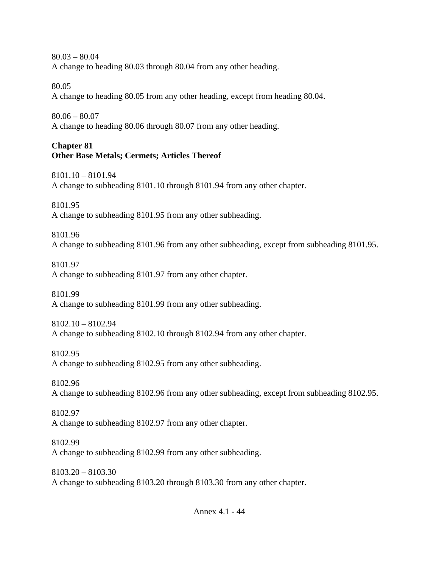80.03 – 80.04 A change to heading 80.03 through 80.04 from any other heading.

80.05

A change to heading 80.05 from any other heading, except from heading 80.04.

80.06 – 80.07

A change to heading 80.06 through 80.07 from any other heading.

### **Chapter 81 Other Base Metals; Cermets; Articles Thereof**

8101.10 – 8101.94 A change to subheading 8101.10 through 8101.94 from any other chapter.

8101.95 A change to subheading 8101.95 from any other subheading.

8101.96 A change to subheading 8101.96 from any other subheading, except from subheading 8101.95.

8101.97 A change to subheading 8101.97 from any other chapter.

8101.99 A change to subheading 8101.99 from any other subheading.

8102.10 – 8102.94 A change to subheading 8102.10 through 8102.94 from any other chapter.

8102.95 A change to subheading 8102.95 from any other subheading.

8102.96 A change to subheading 8102.96 from any other subheading, except from subheading 8102.95.

8102.97 A change to subheading 8102.97 from any other chapter.

8102.99 A change to subheading 8102.99 from any other subheading.

8103.20 – 8103.30 A change to subheading 8103.20 through 8103.30 from any other chapter.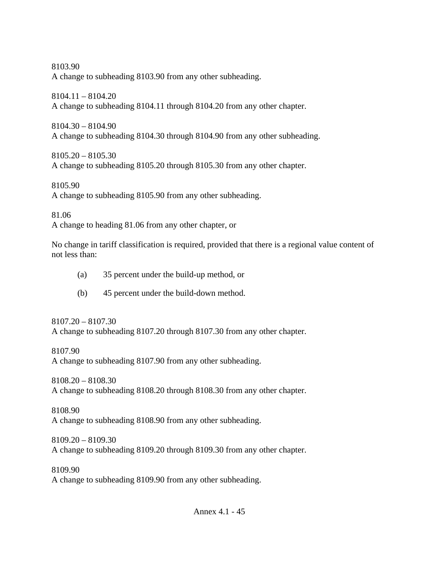8103.90 A change to subheading 8103.90 from any other subheading.

8104.11 – 8104.20 A change to subheading 8104.11 through 8104.20 from any other chapter.

8104.30 – 8104.90 A change to subheading 8104.30 through 8104.90 from any other subheading.

8105.20 – 8105.30 A change to subheading 8105.20 through 8105.30 from any other chapter.

8105.90 A change to subheading 8105.90 from any other subheading.

81.06

A change to heading 81.06 from any other chapter, or

No change in tariff classification is required, provided that there is a regional value content of not less than:

- (a) 35 percent under the build-up method, or
- (b) 45 percent under the build-down method.

8107.20 – 8107.30 A change to subheading 8107.20 through 8107.30 from any other chapter.

8107.90 A change to subheading 8107.90 from any other subheading.

8108.20 – 8108.30 A change to subheading 8108.20 through 8108.30 from any other chapter.

8108.90 A change to subheading 8108.90 from any other subheading.

8109.20 – 8109.30 A change to subheading 8109.20 through 8109.30 from any other chapter.

8109.90 A change to subheading 8109.90 from any other subheading.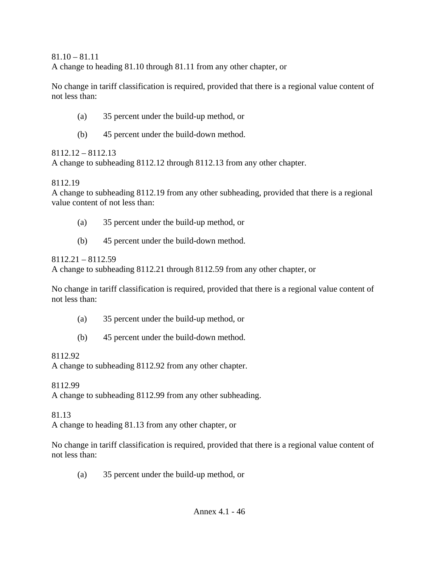$81.10 - 81.11$ A change to heading 81.10 through 81.11 from any other chapter, or

No change in tariff classification is required, provided that there is a regional value content of not less than:

- (a) 35 percent under the build-up method, or
- (b) 45 percent under the build-down method.

## 8112.12 – 8112.13

A change to subheading 8112.12 through 8112.13 from any other chapter.

## 8112.19

A change to subheading 8112.19 from any other subheading, provided that there is a regional value content of not less than:

- (a) 35 percent under the build-up method, or
- (b) 45 percent under the build-down method.

## 8112.21 – 8112.59

A change to subheading 8112.21 through 8112.59 from any other chapter, or

No change in tariff classification is required, provided that there is a regional value content of not less than:

- (a) 35 percent under the build-up method, or
- (b) 45 percent under the build-down method.

# 8112.92

A change to subheading 8112.92 from any other chapter.

## 8112.99

A change to subheading 8112.99 from any other subheading.

# 81.13

A change to heading 81.13 from any other chapter, or

No change in tariff classification is required, provided that there is a regional value content of not less than:

(a) 35 percent under the build-up method, or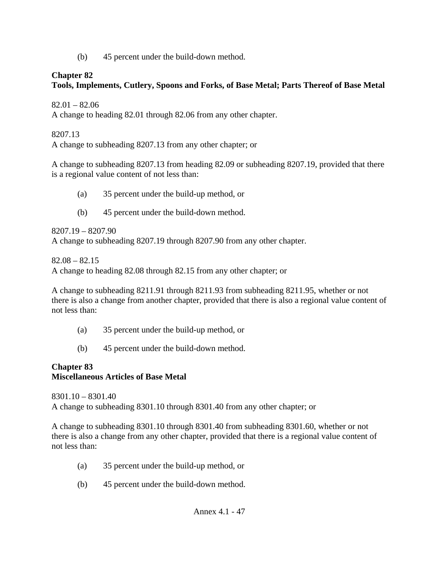(b) 45 percent under the build-down method.

## **Chapter 82**

# **Tools, Implements, Cutlery, Spoons and Forks, of Base Metal; Parts Thereof of Base Metal**

 $82.01 - 82.06$ 

A change to heading 82.01 through 82.06 from any other chapter.

### 8207.13

A change to subheading 8207.13 from any other chapter; or

A change to subheading 8207.13 from heading 82.09 or subheading 8207.19, provided that there is a regional value content of not less than:

- (a) 35 percent under the build-up method, or
- (b) 45 percent under the build-down method.

8207.19 – 8207.90 A change to subheading 8207.19 through 8207.90 from any other chapter.

 $82.08 - 82.15$ 

A change to heading 82.08 through 82.15 from any other chapter; or

A change to subheading 8211.91 through 8211.93 from subheading 8211.95, whether or not there is also a change from another chapter, provided that there is also a regional value content of not less than:

- (a) 35 percent under the build-up method, or
- (b) 45 percent under the build-down method.

### **Chapter 83 Miscellaneous Articles of Base Metal**

8301.10 – 8301.40 A change to subheading 8301.10 through 8301.40 from any other chapter; or

A change to subheading 8301.10 through 8301.40 from subheading 8301.60, whether or not there is also a change from any other chapter, provided that there is a regional value content of not less than:

- (a) 35 percent under the build-up method, or
- (b) 45 percent under the build-down method.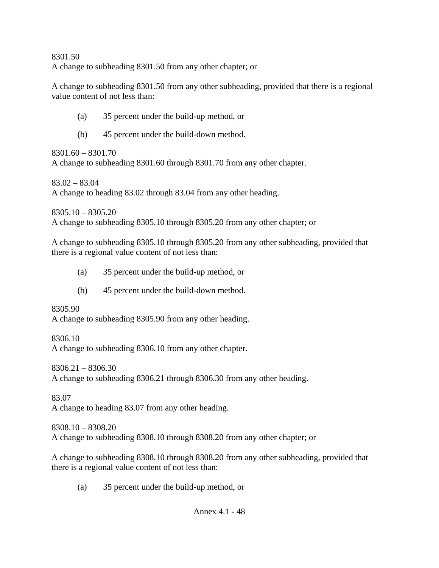8301.50 A change to subheading 8301.50 from any other chapter; or

A change to subheading 8301.50 from any other subheading, provided that there is a regional value content of not less than:

- (a) 35 percent under the build-up method, or
- (b) 45 percent under the build-down method.

8301.60 – 8301.70 A change to subheading 8301.60 through 8301.70 from any other chapter.

83.02 – 83.04 A change to heading 83.02 through 83.04 from any other heading.

8305.10 – 8305.20 A change to subheading 8305.10 through 8305.20 from any other chapter; or

A change to subheading 8305.10 through 8305.20 from any other subheading, provided that there is a regional value content of not less than:

- (a) 35 percent under the build-up method, or
- (b) 45 percent under the build-down method.

8305.90

A change to subheading 8305.90 from any other heading.

8306.10

A change to subheading 8306.10 from any other chapter.

 $8306.21 - 8306.30$ 

A change to subheading 8306.21 through 8306.30 from any other heading.

83.07 A change to heading 83.07 from any other heading.

8308.10 – 8308.20 A change to subheading 8308.10 through 8308.20 from any other chapter; or

A change to subheading 8308.10 through 8308.20 from any other subheading, provided that there is a regional value content of not less than:

(a) 35 percent under the build-up method, or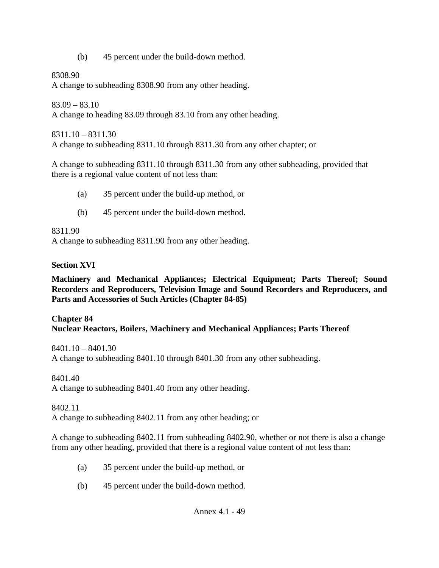(b) 45 percent under the build-down method.

8308.90

A change to subheading 8308.90 from any other heading.

 $83.09 - 83.10$ 

A change to heading 83.09 through 83.10 from any other heading.

8311.10 – 8311.30 A change to subheading 8311.10 through 8311.30 from any other chapter; or

A change to subheading 8311.10 through 8311.30 from any other subheading, provided that there is a regional value content of not less than:

- (a) 35 percent under the build-up method, or
- (b) 45 percent under the build-down method.

8311.90

A change to subheading 8311.90 from any other heading.

## **Section XVI**

**Machinery and Mechanical Appliances; Electrical Equipment; Parts Thereof; Sound Recorders and Reproducers, Television Image and Sound Recorders and Reproducers, and Parts and Accessories of Such Articles (Chapter 84-85)** 

### **Chapter 84 Nuclear Reactors, Boilers, Machinery and Mechanical Appliances; Parts Thereof**

8401.10 – 8401.30 A change to subheading 8401.10 through 8401.30 from any other subheading.

8401.40

A change to subheading 8401.40 from any other heading.

8402.11

A change to subheading 8402.11 from any other heading; or

A change to subheading 8402.11 from subheading 8402.90, whether or not there is also a change from any other heading, provided that there is a regional value content of not less than:

- (a) 35 percent under the build-up method, or
- (b) 45 percent under the build-down method.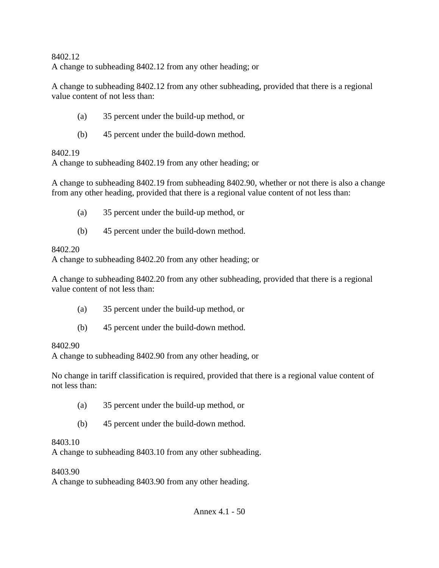#### 8402.12 A change to subheading 8402.12 from any other heading; or

A change to subheading 8402.12 from any other subheading, provided that there is a regional value content of not less than:

- (a) 35 percent under the build-up method, or
- (b) 45 percent under the build-down method.

## 8402.19

A change to subheading 8402.19 from any other heading; or

A change to subheading 8402.19 from subheading 8402.90, whether or not there is also a change from any other heading, provided that there is a regional value content of not less than:

- (a) 35 percent under the build-up method, or
- (b) 45 percent under the build-down method.

## 8402.20

A change to subheading 8402.20 from any other heading; or

A change to subheading 8402.20 from any other subheading, provided that there is a regional value content of not less than:

- (a) 35 percent under the build-up method, or
- (b) 45 percent under the build-down method.

# 8402.90

A change to subheading 8402.90 from any other heading, or

No change in tariff classification is required, provided that there is a regional value content of not less than:

- (a) 35 percent under the build-up method, or
- (b) 45 percent under the build-down method.

# 8403.10

A change to subheading 8403.10 from any other subheading.

# 8403.90

A change to subheading 8403.90 from any other heading.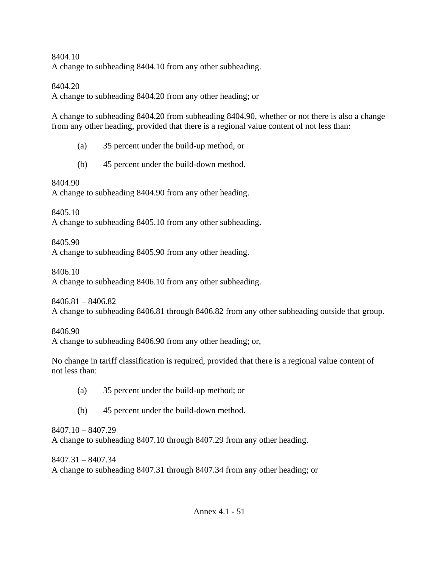8404.10

A change to subheading 8404.10 from any other subheading.

8404.20

A change to subheading 8404.20 from any other heading; or

A change to subheading 8404.20 from subheading 8404.90, whether or not there is also a change from any other heading, provided that there is a regional value content of not less than:

(a) 35 percent under the build-up method, or

(b) 45 percent under the build-down method.

8404.90

A change to subheading 8404.90 from any other heading.

8405.10

A change to subheading 8405.10 from any other subheading.

8405.90

A change to subheading 8405.90 from any other heading.

8406.10

A change to subheading 8406.10 from any other subheading.

8406.81 – 8406.82

A change to subheading 8406.81 through 8406.82 from any other subheading outside that group.

8406.90

A change to subheading 8406.90 from any other heading; or,

No change in tariff classification is required, provided that there is a regional value content of not less than:

- (a) 35 percent under the build-up method; or
- (b) 45 percent under the build-down method.

8407.10 – 8407.29 A change to subheading 8407.10 through 8407.29 from any other heading.

8407.31 – 8407.34 A change to subheading 8407.31 through 8407.34 from any other heading; or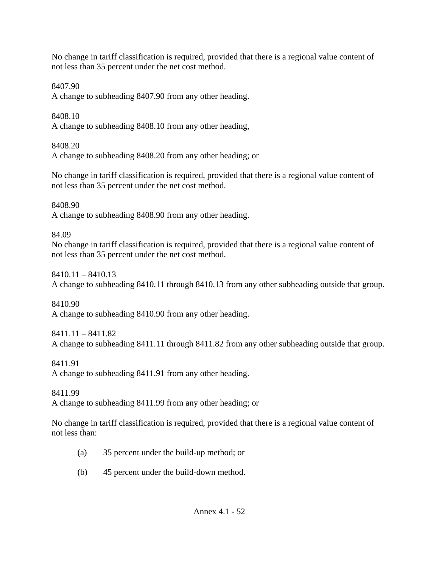No change in tariff classification is required, provided that there is a regional value content of not less than 35 percent under the net cost method.

8407.90

A change to subheading 8407.90 from any other heading.

8408.10

A change to subheading 8408.10 from any other heading,

8408.20

A change to subheading 8408.20 from any other heading; or

No change in tariff classification is required, provided that there is a regional value content of not less than 35 percent under the net cost method.

8408.90

A change to subheading 8408.90 from any other heading.

84.09

No change in tariff classification is required, provided that there is a regional value content of not less than 35 percent under the net cost method.

8410.11 – 8410.13

A change to subheading 8410.11 through 8410.13 from any other subheading outside that group.

8410.90 A change to subheading 8410.90 from any other heading.

8411.11 – 8411.82 A change to subheading 8411.11 through 8411.82 from any other subheading outside that group.

8411.91

A change to subheading 8411.91 from any other heading.

8411.99

A change to subheading 8411.99 from any other heading; or

No change in tariff classification is required, provided that there is a regional value content of not less than:

- (a) 35 percent under the build-up method; or
- (b) 45 percent under the build-down method.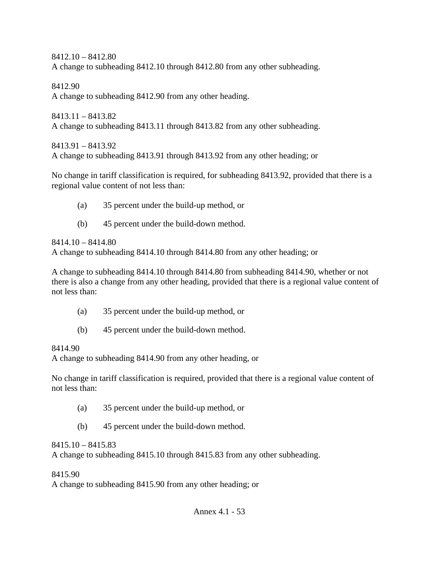8412.10 – 8412.80 A change to subheading 8412.10 through 8412.80 from any other subheading.

8412.90 A change to subheading 8412.90 from any other heading.

8413.11 – 8413.82 A change to subheading 8413.11 through 8413.82 from any other subheading.

8413.91 – 8413.92 A change to subheading 8413.91 through 8413.92 from any other heading; or

No change in tariff classification is required, for subheading 8413.92, provided that there is a regional value content of not less than:

- (a) 35 percent under the build-up method, or
- (b) 45 percent under the build-down method.

8414.10 – 8414.80

A change to subheading 8414.10 through 8414.80 from any other heading; or

A change to subheading 8414.10 through 8414.80 from subheading 8414.90, whether or not there is also a change from any other heading, provided that there is a regional value content of not less than:

- (a) 35 percent under the build-up method, or
- (b) 45 percent under the build-down method.

#### 8414.90

A change to subheading 8414.90 from any other heading, or

No change in tariff classification is required, provided that there is a regional value content of not less than:

- (a) 35 percent under the build-up method, or
- (b) 45 percent under the build-down method.

#### 8415.10 – 8415.83

A change to subheading 8415.10 through 8415.83 from any other subheading.

#### 8415.90

A change to subheading 8415.90 from any other heading; or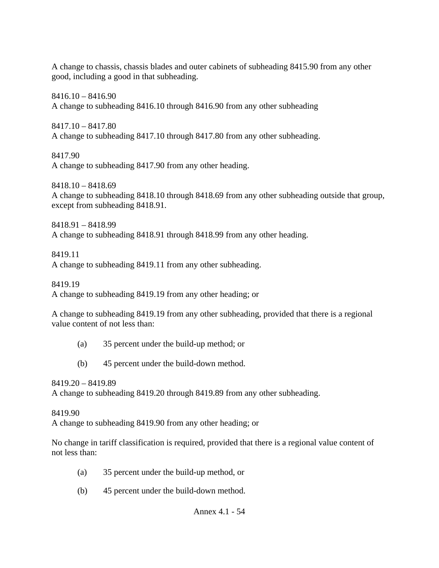A change to chassis, chassis blades and outer cabinets of subheading 8415.90 from any other good, including a good in that subheading.

 $8416.10 - 8416.90$ A change to subheading 8416.10 through 8416.90 from any other subheading

8417.10 – 8417.80 A change to subheading 8417.10 through 8417.80 from any other subheading.

8417.90 A change to subheading 8417.90 from any other heading.

8418.10 – 8418.69 A change to subheading 8418.10 through 8418.69 from any other subheading outside that group, except from subheading 8418.91.

8418.91 – 8418.99 A change to subheading 8418.91 through 8418.99 from any other heading.

8419.11 A change to subheading 8419.11 from any other subheading.

8419.19 A change to subheading 8419.19 from any other heading; or

A change to subheading 8419.19 from any other subheading, provided that there is a regional value content of not less than:

- (a) 35 percent under the build-up method; or
- (b) 45 percent under the build-down method.

8419.20 – 8419.89

A change to subheading 8419.20 through 8419.89 from any other subheading.

8419.90

A change to subheading 8419.90 from any other heading; or

No change in tariff classification is required, provided that there is a regional value content of not less than:

- (a) 35 percent under the build-up method, or
- (b) 45 percent under the build-down method.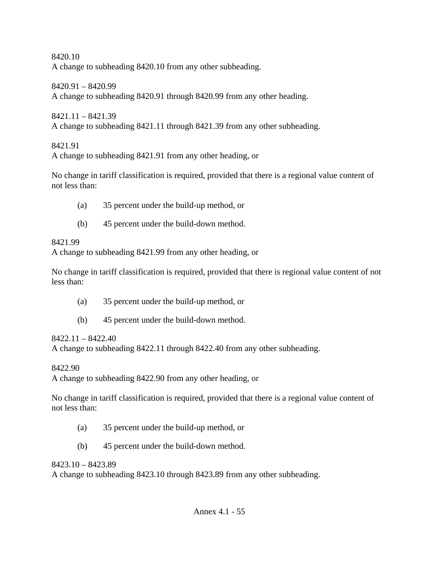8420.10 A change to subheading 8420.10 from any other subheading.

8420.91 – 8420.99 A change to subheading 8420.91 through 8420.99 from any other heading.

 $8421.11 - 8421.39$ A change to subheading 8421.11 through 8421.39 from any other subheading.

8421.91

A change to subheading 8421.91 from any other heading, or

No change in tariff classification is required, provided that there is a regional value content of not less than:

- (a) 35 percent under the build-up method, or
- (b) 45 percent under the build-down method.

## 8421.99

A change to subheading 8421.99 from any other heading, or

No change in tariff classification is required, provided that there is regional value content of not less than:

- (a) 35 percent under the build-up method, or
- (b) 45 percent under the build-down method.

### 8422.11 – 8422.40

A change to subheading 8422.11 through 8422.40 from any other subheading.

8422.90

A change to subheading 8422.90 from any other heading, or

No change in tariff classification is required, provided that there is a regional value content of not less than:

- (a) 35 percent under the build-up method, or
- (b) 45 percent under the build-down method.

### 8423.10 – 8423.89

A change to subheading 8423.10 through 8423.89 from any other subheading.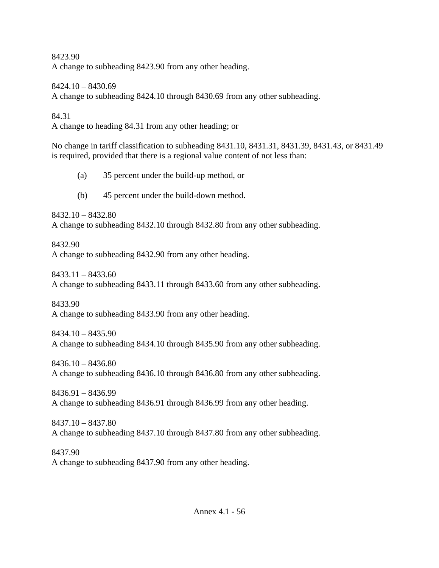8423.90 A change to subheading 8423.90 from any other heading.

8424.10 – 8430.69 A change to subheading 8424.10 through 8430.69 from any other subheading.

84.31 A change to heading 84.31 from any other heading; or

No change in tariff classification to subheading 8431.10, 8431.31, 8431.39, 8431.43, or 8431.49 is required, provided that there is a regional value content of not less than:

(a) 35 percent under the build-up method, or

(b) 45 percent under the build-down method.

8432.10 – 8432.80

A change to subheading 8432.10 through 8432.80 from any other subheading.

8432.90 A change to subheading 8432.90 from any other heading.

8433.11 – 8433.60 A change to subheading 8433.11 through 8433.60 from any other subheading.

8433.90 A change to subheading 8433.90 from any other heading.

8434.10 – 8435.90 A change to subheading 8434.10 through 8435.90 from any other subheading.

8436.10 – 8436.80 A change to subheading 8436.10 through 8436.80 from any other subheading.

8436.91 – 8436.99 A change to subheading 8436.91 through 8436.99 from any other heading.

8437.10 – 8437.80 A change to subheading 8437.10 through 8437.80 from any other subheading.

8437.90 A change to subheading 8437.90 from any other heading.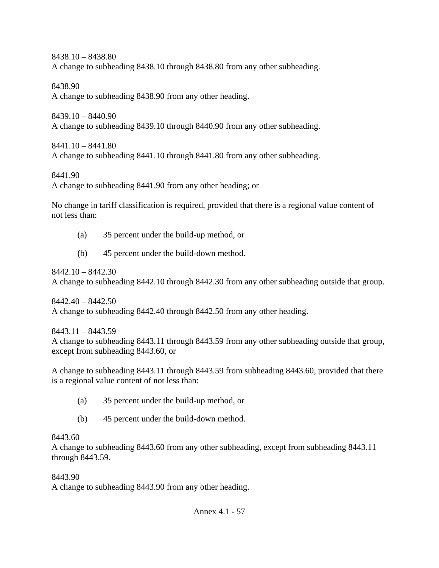8438.10 – 8438.80 A change to subheading 8438.10 through 8438.80 from any other subheading.

8438.90 A change to subheading 8438.90 from any other heading.

8439.10 – 8440.90 A change to subheading 8439.10 through 8440.90 from any other subheading.

8441.10 – 8441.80 A change to subheading 8441.10 through 8441.80 from any other subheading.

8441.90 A change to subheading 8441.90 from any other heading; or

No change in tariff classification is required, provided that there is a regional value content of not less than:

- (a) 35 percent under the build-up method, or
- (b) 45 percent under the build-down method.

 $8442.10 - 8442.30$ 

A change to subheading 8442.10 through 8442.30 from any other subheading outside that group.

 $8442.40 - 8442.50$ A change to subheading 8442.40 through 8442.50 from any other heading.

8443.11 – 8443.59 A change to subheading 8443.11 through 8443.59 from any other subheading outside that group, except from subheading 8443.60, or

A change to subheading 8443.11 through 8443.59 from subheading 8443.60, provided that there is a regional value content of not less than:

- (a) 35 percent under the build-up method, or
- (b) 45 percent under the build-down method.

## 8443.60

A change to subheading 8443.60 from any other subheading, except from subheading 8443.11 through 8443.59.

8443.90

A change to subheading 8443.90 from any other heading.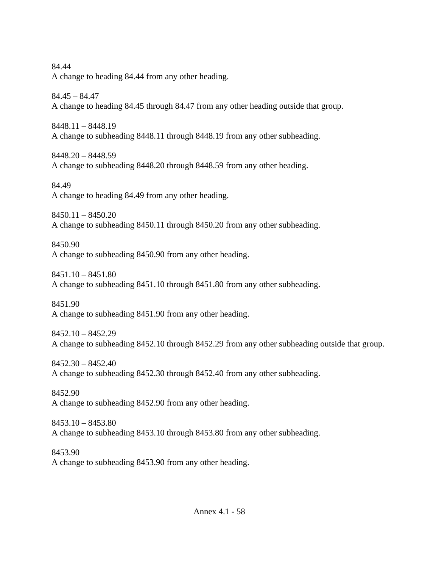Annex 4.1 - 58 84.44 A change to heading 84.44 from any other heading. 84.45 – 84.47 A change to heading 84.45 through 84.47 from any other heading outside that group. 8448.11 – 8448.19 A change to subheading 8448.11 through 8448.19 from any other subheading. 8448.20 – 8448.59 A change to subheading 8448.20 through 8448.59 from any other heading. 84.49 A change to heading 84.49 from any other heading.  $8450.11 - 8450.20$ A change to subheading 8450.11 through 8450.20 from any other subheading. 8450.90 A change to subheading 8450.90 from any other heading.  $8451.10 - 8451.80$ A change to subheading 8451.10 through 8451.80 from any other subheading. 8451.90 A change to subheading 8451.90 from any other heading. 8452.10 – 8452.29 A change to subheading 8452.10 through 8452.29 from any other subheading outside that group. 8452.30 – 8452.40 A change to subheading 8452.30 through 8452.40 from any other subheading. 8452.90 A change to subheading 8452.90 from any other heading. 8453.10 – 8453.80 A change to subheading 8453.10 through 8453.80 from any other subheading. 8453.90 A change to subheading 8453.90 from any other heading.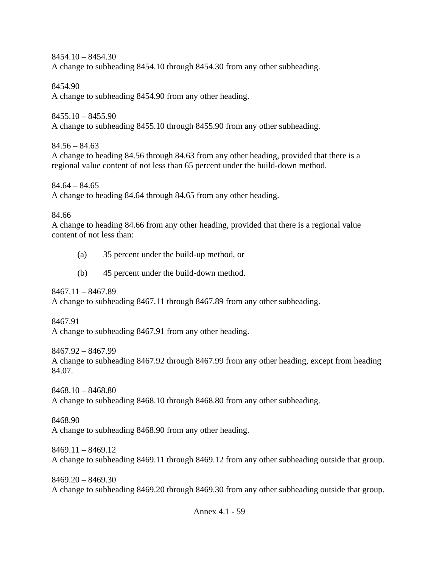$8454.10 - 8454.30$ 

A change to subheading 8454.10 through 8454.30 from any other subheading.

8454.90

A change to subheading 8454.90 from any other heading.

 $8455.10 - 8455.90$ A change to subheading 8455.10 through 8455.90 from any other subheading.

 $84.56 - 84.63$ A change to heading 84.56 through 84.63 from any other heading, provided that there is a regional value content of not less than 65 percent under the build-down method.

 $84.64 - 84.65$ A change to heading 84.64 through 84.65 from any other heading.

84.66

A change to heading 84.66 from any other heading, provided that there is a regional value content of not less than:

- (a) 35 percent under the build-up method, or
- (b) 45 percent under the build-down method.

8467.11 – 8467.89

A change to subheading 8467.11 through 8467.89 from any other subheading.

8467.91

A change to subheading 8467.91 from any other heading.

8467.92 – 8467.99

A change to subheading 8467.92 through 8467.99 from any other heading, except from heading 84.07.

8468.10 – 8468.80

A change to subheading 8468.10 through 8468.80 from any other subheading.

8468.90

A change to subheading 8468.90 from any other heading.

8469.11 – 8469.12 A change to subheading 8469.11 through 8469.12 from any other subheading outside that group.

8469.20 – 8469.30 A change to subheading 8469.20 through 8469.30 from any other subheading outside that group.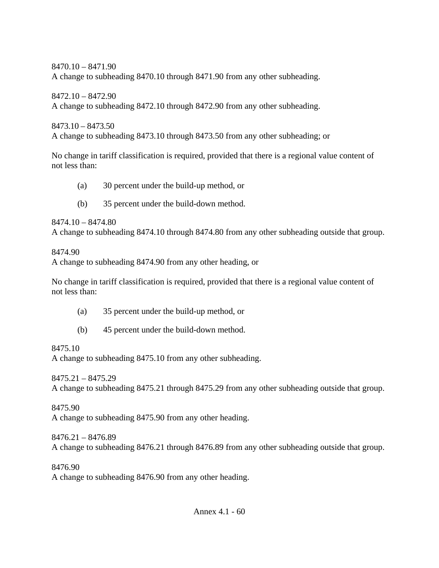8470.10 – 8471.90 A change to subheading 8470.10 through 8471.90 from any other subheading.

8472.10 – 8472.90 A change to subheading 8472.10 through 8472.90 from any other subheading.

8473.10 – 8473.50 A change to subheading 8473.10 through 8473.50 from any other subheading; or

No change in tariff classification is required, provided that there is a regional value content of not less than:

- (a) 30 percent under the build-up method, or
- (b) 35 percent under the build-down method.

8474.10 – 8474.80 A change to subheading 8474.10 through 8474.80 from any other subheading outside that group.

8474.90

A change to subheading 8474.90 from any other heading, or

No change in tariff classification is required, provided that there is a regional value content of not less than:

- (a) 35 percent under the build-up method, or
- (b) 45 percent under the build-down method.

8475.10

A change to subheading 8475.10 from any other subheading.

8475.21 – 8475.29

A change to subheading 8475.21 through 8475.29 from any other subheading outside that group.

8475.90

A change to subheading 8475.90 from any other heading.

8476.21 – 8476.89 A change to subheading 8476.21 through 8476.89 from any other subheading outside that group.

8476.90 A change to subheading 8476.90 from any other heading.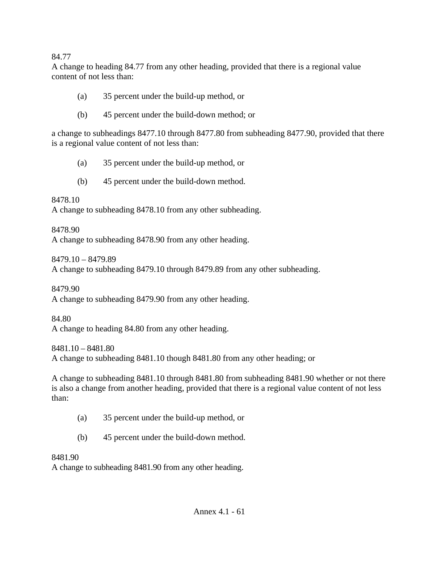#### 84.77

A change to heading 84.77 from any other heading, provided that there is a regional value content of not less than:

- (a) 35 percent under the build-up method, or
- (b) 45 percent under the build-down method; or

a change to subheadings 8477.10 through 8477.80 from subheading 8477.90, provided that there is a regional value content of not less than:

- (a) 35 percent under the build-up method, or
- (b) 45 percent under the build-down method.

8478.10

A change to subheading 8478.10 from any other subheading.

8478.90

A change to subheading 8478.90 from any other heading.

8479.10 – 8479.89

A change to subheading 8479.10 through 8479.89 from any other subheading.

8479.90

A change to subheading 8479.90 from any other heading.

84.80

A change to heading 84.80 from any other heading.

8481.10 – 8481.80 A change to subheading 8481.10 though 8481.80 from any other heading; or

A change to subheading 8481.10 through 8481.80 from subheading 8481.90 whether or not there is also a change from another heading, provided that there is a regional value content of not less than:

- (a) 35 percent under the build-up method, or
- (b) 45 percent under the build-down method.

8481.90

A change to subheading 8481.90 from any other heading.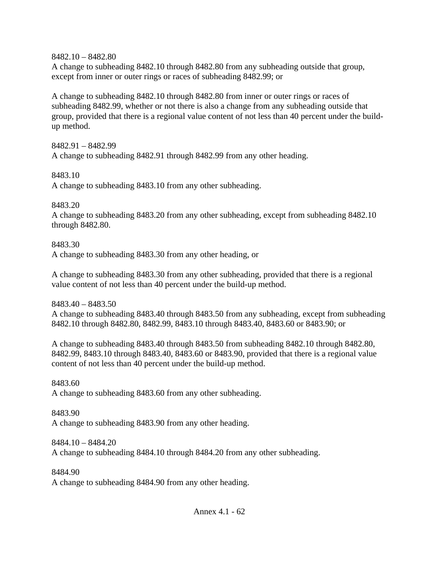8482.10 – 8482.80

A change to subheading 8482.10 through 8482.80 from any subheading outside that group, except from inner or outer rings or races of subheading 8482.99; or

A change to subheading 8482.10 through 8482.80 from inner or outer rings or races of subheading 8482.99, whether or not there is also a change from any subheading outside that group, provided that there is a regional value content of not less than 40 percent under the buildup method.

8482.91 – 8482.99 A change to subheading 8482.91 through 8482.99 from any other heading.

8483.10

A change to subheading 8483.10 from any other subheading.

8483.20

A change to subheading 8483.20 from any other subheading, except from subheading 8482.10 through 8482.80.

8483.30 A change to subheading 8483.30 from any other heading, or

A change to subheading 8483.30 from any other subheading, provided that there is a regional value content of not less than 40 percent under the build-up method.

8483.40 – 8483.50 A change to subheading 8483.40 through 8483.50 from any subheading, except from subheading 8482.10 through 8482.80, 8482.99, 8483.10 through 8483.40, 8483.60 or 8483.90; or

A change to subheading 8483.40 through 8483.50 from subheading 8482.10 through 8482.80, 8482.99, 8483.10 through 8483.40, 8483.60 or 8483.90, provided that there is a regional value content of not less than 40 percent under the build-up method.

8483.60 A change to subheading 8483.60 from any other subheading.

8483.90 A change to subheading 8483.90 from any other heading.

8484.10 – 8484.20 A change to subheading 8484.10 through 8484.20 from any other subheading.

8484.90 A change to subheading 8484.90 from any other heading.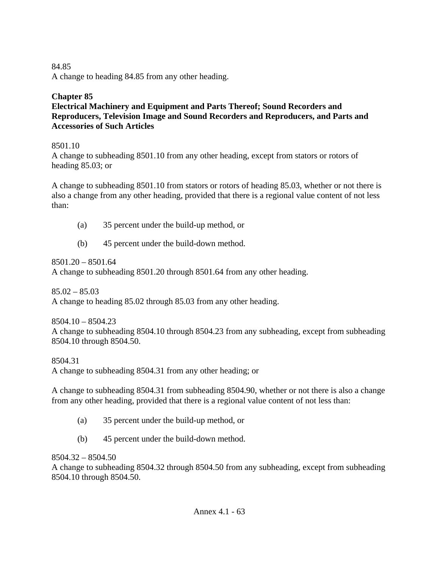#### 84.85 A change to heading 84.85 from any other heading.

### **Chapter 85**

#### **Electrical Machinery and Equipment and Parts Thereof; Sound Recorders and Reproducers, Television Image and Sound Recorders and Reproducers, and Parts and Accessories of Such Articles**

### 8501.10

A change to subheading 8501.10 from any other heading, except from stators or rotors of heading 85.03; or

A change to subheading 8501.10 from stators or rotors of heading 85.03, whether or not there is also a change from any other heading, provided that there is a regional value content of not less than:

- (a) 35 percent under the build-up method, or
- (b) 45 percent under the build-down method.

8501.20 – 8501.64 A change to subheading 8501.20 through 8501.64 from any other heading.

 $85.02 - 85.03$ A change to heading 85.02 through 85.03 from any other heading.

8504.10 – 8504.23 A change to subheading 8504.10 through 8504.23 from any subheading, except from subheading 8504.10 through 8504.50.

8504.31

A change to subheading 8504.31 from any other heading; or

A change to subheading 8504.31 from subheading 8504.90, whether or not there is also a change from any other heading, provided that there is a regional value content of not less than:

- (a) 35 percent under the build-up method, or
- (b) 45 percent under the build-down method.

### $8504.32 - 8504.50$

A change to subheading 8504.32 through 8504.50 from any subheading, except from subheading 8504.10 through 8504.50.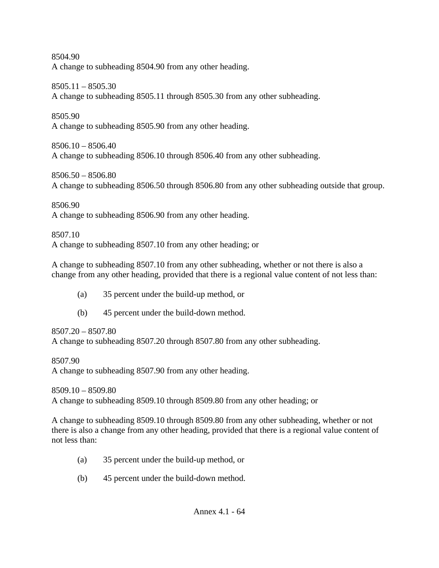8504.90 A change to subheading 8504.90 from any other heading.

8505.11 – 8505.30

A change to subheading 8505.11 through 8505.30 from any other subheading.

8505.90

A change to subheading 8505.90 from any other heading.

 $8506.10 - 8506.40$ A change to subheading 8506.10 through 8506.40 from any other subheading.

8506.50 – 8506.80 A change to subheading 8506.50 through 8506.80 from any other subheading outside that group.

8506.90 A change to subheading 8506.90 from any other heading.

8507.10 A change to subheading 8507.10 from any other heading; or

A change to subheading 8507.10 from any other subheading, whether or not there is also a change from any other heading, provided that there is a regional value content of not less than:

- (a) 35 percent under the build-up method, or
- (b) 45 percent under the build-down method.

8507.20 – 8507.80

A change to subheading 8507.20 through 8507.80 from any other subheading.

8507.90 A change to subheading 8507.90 from any other heading.

8509.10 – 8509.80 A change to subheading 8509.10 through 8509.80 from any other heading; or

A change to subheading 8509.10 through 8509.80 from any other subheading, whether or not there is also a change from any other heading, provided that there is a regional value content of not less than:

- (a) 35 percent under the build-up method, or
- (b) 45 percent under the build-down method.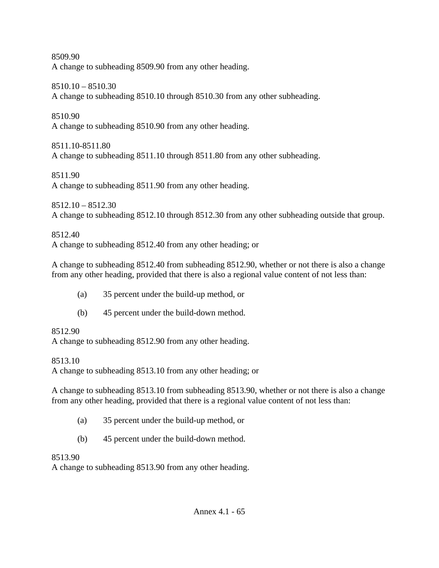8509.90 A change to subheading 8509.90 from any other heading.

8510.10 – 8510.30

A change to subheading 8510.10 through 8510.30 from any other subheading.

8510.90

A change to subheading 8510.90 from any other heading.

8511.10-8511.80

A change to subheading 8511.10 through 8511.80 from any other subheading.

8511.90

A change to subheading 8511.90 from any other heading.

8512.10 – 8512.30 A change to subheading 8512.10 through 8512.30 from any other subheading outside that group.

8512.40

A change to subheading 8512.40 from any other heading; or

A change to subheading 8512.40 from subheading 8512.90, whether or not there is also a change from any other heading, provided that there is also a regional value content of not less than:

- (a) 35 percent under the build-up method, or
- (b) 45 percent under the build-down method.

# 8512.90

A change to subheading 8512.90 from any other heading.

8513.10

A change to subheading 8513.10 from any other heading; or

A change to subheading 8513.10 from subheading 8513.90, whether or not there is also a change from any other heading, provided that there is a regional value content of not less than:

- (a) 35 percent under the build-up method, or
- (b) 45 percent under the build-down method.

# 8513.90

A change to subheading 8513.90 from any other heading.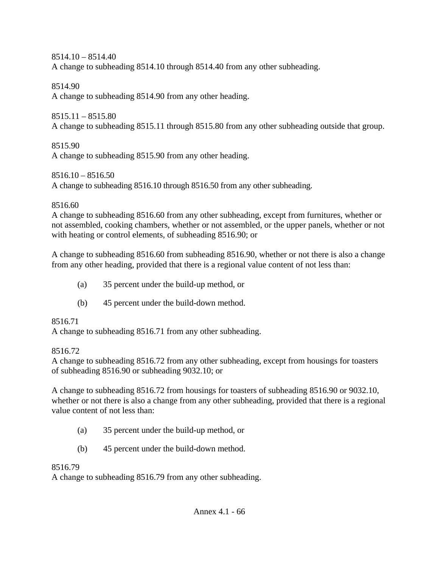$8514.10 - 8514.40$ A change to subheading 8514.10 through 8514.40 from any other subheading.

8514.90

A change to subheading 8514.90 from any other heading.

 $8515.11 - 8515.80$ 

A change to subheading 8515.11 through 8515.80 from any other subheading outside that group.

8515.90 A change to subheading 8515.90 from any other heading.

 $8516.10 - 8516.50$ 

A change to subheading 8516.10 through 8516.50 from any other subheading.

8516.60

A change to subheading 8516.60 from any other subheading, except from furnitures, whether or not assembled, cooking chambers, whether or not assembled, or the upper panels, whether or not with heating or control elements, of subheading 8516.90; or

A change to subheading 8516.60 from subheading 8516.90, whether or not there is also a change from any other heading, provided that there is a regional value content of not less than:

- (a) 35 percent under the build-up method, or
- (b) 45 percent under the build-down method.

8516.71

A change to subheading 8516.71 from any other subheading.

8516.72

A change to subheading 8516.72 from any other subheading, except from housings for toasters of subheading 8516.90 or subheading 9032.10; or

A change to subheading 8516.72 from housings for toasters of subheading 8516.90 or 9032.10, whether or not there is also a change from any other subheading, provided that there is a regional value content of not less than:

- (a) 35 percent under the build-up method, or
- (b) 45 percent under the build-down method.

8516.79

A change to subheading 8516.79 from any other subheading.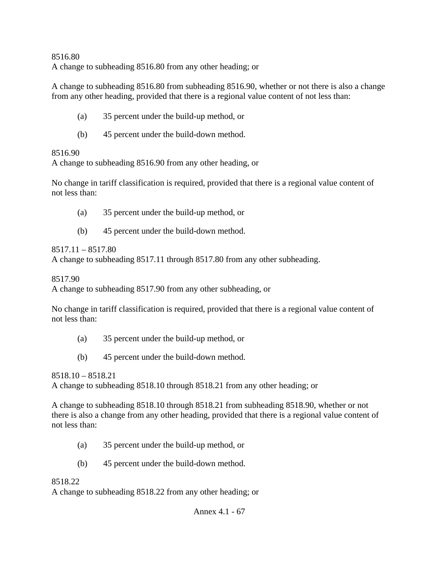8516.80 A change to subheading 8516.80 from any other heading; or

A change to subheading 8516.80 from subheading 8516.90, whether or not there is also a change from any other heading, provided that there is a regional value content of not less than:

- (a) 35 percent under the build-up method, or
- (b) 45 percent under the build-down method.

### 8516.90

A change to subheading 8516.90 from any other heading, or

No change in tariff classification is required, provided that there is a regional value content of not less than:

- (a) 35 percent under the build-up method, or
- (b) 45 percent under the build-down method.

## $8517.11 - 8517.80$

A change to subheading 8517.11 through 8517.80 from any other subheading.

8517.90

A change to subheading 8517.90 from any other subheading, or

No change in tariff classification is required, provided that there is a regional value content of not less than:

- (a) 35 percent under the build-up method, or
- (b) 45 percent under the build-down method.

8518.10 – 8518.21

A change to subheading 8518.10 through 8518.21 from any other heading; or

A change to subheading 8518.10 through 8518.21 from subheading 8518.90, whether or not there is also a change from any other heading, provided that there is a regional value content of not less than:

- (a) 35 percent under the build-up method, or
- (b) 45 percent under the build-down method.

## 8518.22

A change to subheading 8518.22 from any other heading; or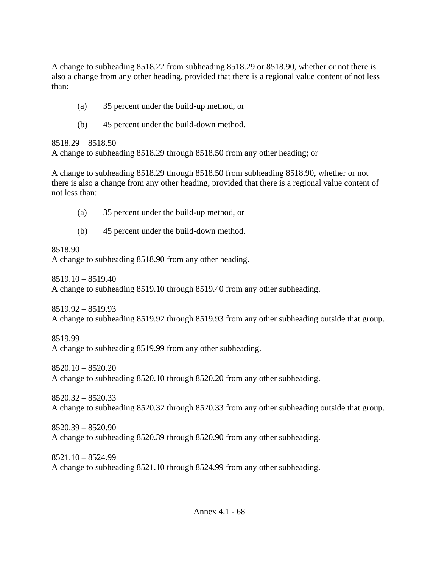A change to subheading 8518.22 from subheading 8518.29 or 8518.90, whether or not there is also a change from any other heading, provided that there is a regional value content of not less than:

- (a) 35 percent under the build-up method, or
- (b) 45 percent under the build-down method.

#### 8518.29 – 8518.50

A change to subheading 8518.29 through 8518.50 from any other heading; or

A change to subheading 8518.29 through 8518.50 from subheading 8518.90, whether or not there is also a change from any other heading, provided that there is a regional value content of not less than:

- (a) 35 percent under the build-up method, or
- (b) 45 percent under the build-down method.

### 8518.90

A change to subheading 8518.90 from any other heading.

8519.10 – 8519.40

A change to subheading 8519.10 through 8519.40 from any other subheading.

8519.92 – 8519.93

A change to subheading 8519.92 through 8519.93 from any other subheading outside that group.

8519.99

A change to subheading 8519.99 from any other subheading.

8520.10 – 8520.20

A change to subheading 8520.10 through 8520.20 from any other subheading.

8520.32 – 8520.33 A change to subheading 8520.32 through 8520.33 from any other subheading outside that group.

8520.39 – 8520.90 A change to subheading 8520.39 through 8520.90 from any other subheading.

8521.10 – 8524.99 A change to subheading 8521.10 through 8524.99 from any other subheading.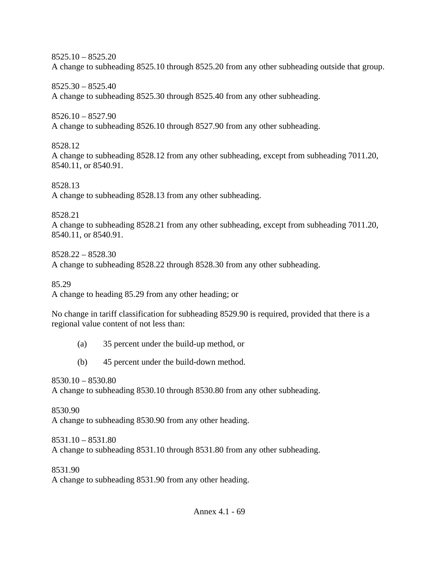$8525.10 - 8525.20$ 

A change to subheading 8525.10 through 8525.20 from any other subheading outside that group.

8525.30 – 8525.40 A change to subheading 8525.30 through 8525.40 from any other subheading.

8526.10 – 8527.90 A change to subheading 8526.10 through 8527.90 from any other subheading.

8528.12

A change to subheading 8528.12 from any other subheading, except from subheading 7011.20, 8540.11, or 8540.91.

8528.13 A change to subheading 8528.13 from any other subheading.

8528.21

A change to subheading 8528.21 from any other subheading, except from subheading 7011.20, 8540.11, or 8540.91.

8528.22 – 8528.30 A change to subheading 8528.22 through 8528.30 from any other subheading.

85.29

A change to heading 85.29 from any other heading; or

No change in tariff classification for subheading 8529.90 is required, provided that there is a regional value content of not less than:

- (a) 35 percent under the build-up method, or
- (b) 45 percent under the build-down method.

8530.10 – 8530.80 A change to subheading 8530.10 through 8530.80 from any other subheading.

8530.90 A change to subheading 8530.90 from any other heading.

8531.10 – 8531.80 A change to subheading 8531.10 through 8531.80 from any other subheading.

8531.90 A change to subheading 8531.90 from any other heading.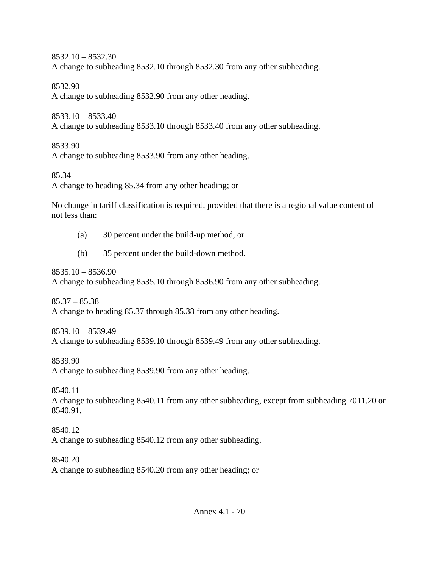8532.10 – 8532.30 A change to subheading 8532.10 through 8532.30 from any other subheading.

8532.90

A change to subheading 8532.90 from any other heading.

8533.10 – 8533.40

A change to subheading 8533.10 through 8533.40 from any other subheading.

8533.90

A change to subheading 8533.90 from any other heading.

85.34

A change to heading 85.34 from any other heading; or

No change in tariff classification is required, provided that there is a regional value content of not less than:

- (a) 30 percent under the build-up method, or
- (b) 35 percent under the build-down method.

8535.10 – 8536.90

A change to subheading 8535.10 through 8536.90 from any other subheading.

 $85.37 - 85.38$ A change to heading 85.37 through 85.38 from any other heading.

8539.10 – 8539.49 A change to subheading 8539.10 through 8539.49 from any other subheading.

8539.90

A change to subheading 8539.90 from any other heading.

8540.11

A change to subheading 8540.11 from any other subheading, except from subheading 7011.20 or 8540.91.

8540.12

A change to subheading 8540.12 from any other subheading.

8540.20

A change to subheading 8540.20 from any other heading; or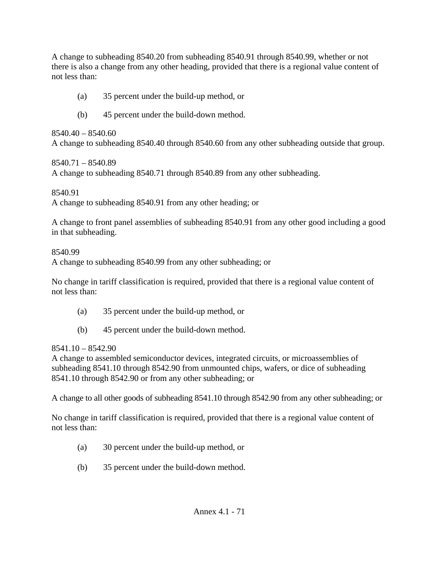A change to subheading 8540.20 from subheading 8540.91 through 8540.99, whether or not there is also a change from any other heading, provided that there is a regional value content of not less than:

- (a) 35 percent under the build-up method, or
- (b) 45 percent under the build-down method.

 $8540.40 - 8540.60$ A change to subheading 8540.40 through 8540.60 from any other subheading outside that group.

8540.71 – 8540.89 A change to subheading 8540.71 through 8540.89 from any other subheading.

8540.91

A change to subheading 8540.91 from any other heading; or

A change to front panel assemblies of subheading 8540.91 from any other good including a good in that subheading.

#### 8540.99

A change to subheading 8540.99 from any other subheading; or

No change in tariff classification is required, provided that there is a regional value content of not less than:

- (a) 35 percent under the build-up method, or
- (b) 45 percent under the build-down method.

#### $8541.10 - 8542.90$

A change to assembled semiconductor devices, integrated circuits, or microassemblies of subheading 8541.10 through 8542.90 from unmounted chips, wafers, or dice of subheading 8541.10 through 8542.90 or from any other subheading; or

A change to all other goods of subheading 8541.10 through 8542.90 from any other subheading; or

No change in tariff classification is required, provided that there is a regional value content of not less than:

- (a) 30 percent under the build-up method, or
- (b) 35 percent under the build-down method.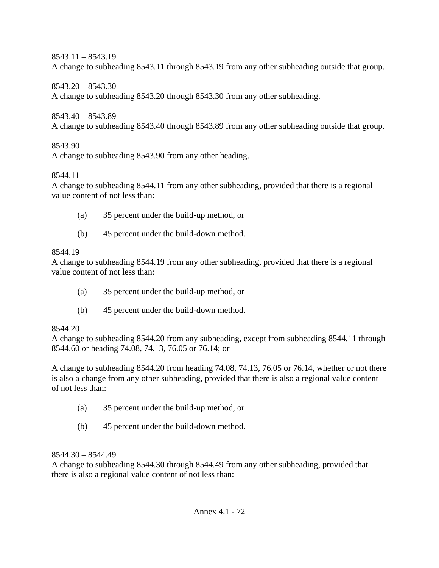8543.11 – 8543.19

A change to subheading 8543.11 through 8543.19 from any other subheading outside that group.

8543.20 – 8543.30

A change to subheading 8543.20 through 8543.30 from any other subheading.

8543.40 – 8543.89

A change to subheading 8543.40 through 8543.89 from any other subheading outside that group.

## 8543.90

A change to subheading 8543.90 from any other heading.

### 8544.11

A change to subheading 8544.11 from any other subheading, provided that there is a regional value content of not less than:

- (a) 35 percent under the build-up method, or
- (b) 45 percent under the build-down method.

## 8544.19

A change to subheading 8544.19 from any other subheading, provided that there is a regional value content of not less than:

- (a) 35 percent under the build-up method, or
- (b) 45 percent under the build-down method.

## 8544.20

A change to subheading 8544.20 from any subheading, except from subheading 8544.11 through 8544.60 or heading 74.08, 74.13, 76.05 or 76.14; or

A change to subheading 8544.20 from heading 74.08, 74.13, 76.05 or 76.14, whether or not there is also a change from any other subheading, provided that there is also a regional value content of not less than:

- (a) 35 percent under the build-up method, or
- (b) 45 percent under the build-down method.

## 8544.30 – 8544.49

A change to subheading 8544.30 through 8544.49 from any other subheading, provided that there is also a regional value content of not less than: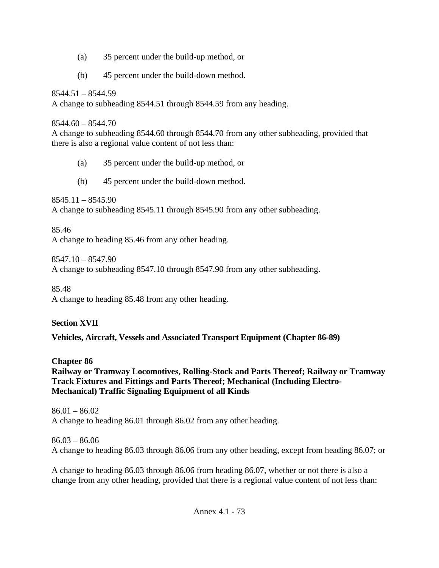- (a) 35 percent under the build-up method, or
- (b) 45 percent under the build-down method.

 $8544.51 - 8544.59$ A change to subheading 8544.51 through 8544.59 from any heading.

 $8544.60 - 8544.70$ 

A change to subheading 8544.60 through 8544.70 from any other subheading, provided that there is also a regional value content of not less than:

- (a) 35 percent under the build-up method, or
- (b) 45 percent under the build-down method.

 $8545.11 - 8545.90$ A change to subheading 8545.11 through 8545.90 from any other subheading.

85.46 A change to heading 85.46 from any other heading.

8547.10 – 8547.90 A change to subheading 8547.10 through 8547.90 from any other subheading.

85.48 A change to heading 85.48 from any other heading.

**Section XVII** 

**Vehicles, Aircraft, Vessels and Associated Transport Equipment (Chapter 86-89)** 

**Chapter 86** 

**Railway or Tramway Locomotives, Rolling-Stock and Parts Thereof; Railway or Tramway Track Fixtures and Fittings and Parts Thereof; Mechanical (Including Electro-Mechanical) Traffic Signaling Equipment of all Kinds** 

 $86.01 - 86.02$ A change to heading 86.01 through 86.02 from any other heading.

86.03 – 86.06 A change to heading 86.03 through 86.06 from any other heading, except from heading 86.07; or

A change to heading 86.03 through 86.06 from heading 86.07, whether or not there is also a change from any other heading, provided that there is a regional value content of not less than: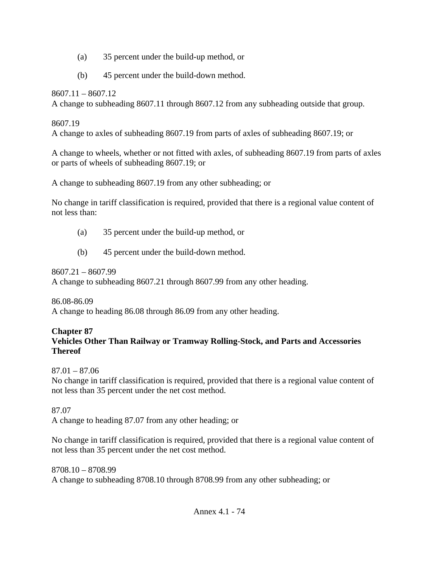- (a) 35 percent under the build-up method, or
- (b) 45 percent under the build-down method.

8607.11 – 8607.12

A change to subheading 8607.11 through 8607.12 from any subheading outside that group.

### 8607.19

A change to axles of subheading 8607.19 from parts of axles of subheading 8607.19; or

A change to wheels, whether or not fitted with axles, of subheading 8607.19 from parts of axles or parts of wheels of subheading 8607.19; or

A change to subheading 8607.19 from any other subheading; or

No change in tariff classification is required, provided that there is a regional value content of not less than:

- (a) 35 percent under the build-up method, or
- (b) 45 percent under the build-down method.

8607.21 – 8607.99

A change to subheading 8607.21 through 8607.99 from any other heading.

86.08-86.09

A change to heading 86.08 through 86.09 from any other heading.

### **Chapter 87 Vehicles Other Than Railway or Tramway Rolling-Stock, and Parts and Accessories Thereof**

87.01 – 87.06

No change in tariff classification is required, provided that there is a regional value content of not less than 35 percent under the net cost method.

87.07

A change to heading 87.07 from any other heading; or

No change in tariff classification is required, provided that there is a regional value content of not less than 35 percent under the net cost method.

8708.10 – 8708.99 A change to subheading 8708.10 through 8708.99 from any other subheading; or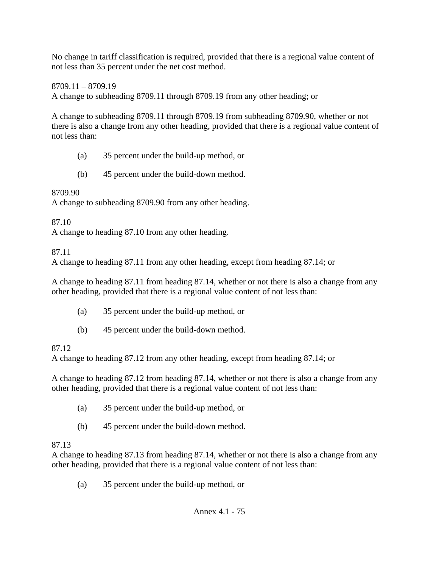No change in tariff classification is required, provided that there is a regional value content of not less than 35 percent under the net cost method.

8709.11 – 8709.19 A change to subheading 8709.11 through 8709.19 from any other heading; or

A change to subheading 8709.11 through 8709.19 from subheading 8709.90, whether or not there is also a change from any other heading, provided that there is a regional value content of not less than:

- (a) 35 percent under the build-up method, or
- (b) 45 percent under the build-down method.

8709.90

A change to subheading 8709.90 from any other heading.

87.10

A change to heading 87.10 from any other heading.

87.11

A change to heading 87.11 from any other heading, except from heading 87.14; or

A change to heading 87.11 from heading 87.14, whether or not there is also a change from any other heading, provided that there is a regional value content of not less than:

- (a) 35 percent under the build-up method, or
- (b) 45 percent under the build-down method.

# 87.12

A change to heading 87.12 from any other heading, except from heading 87.14; or

A change to heading 87.12 from heading 87.14, whether or not there is also a change from any other heading, provided that there is a regional value content of not less than:

- (a) 35 percent under the build-up method, or
- (b) 45 percent under the build-down method.

# 87.13

A change to heading 87.13 from heading 87.14, whether or not there is also a change from any other heading, provided that there is a regional value content of not less than:

(a) 35 percent under the build-up method, or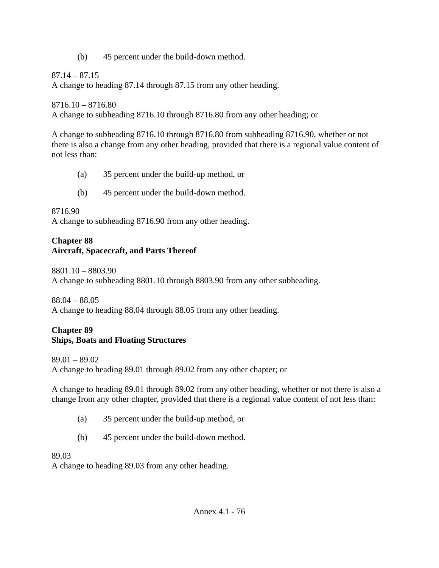(b) 45 percent under the build-down method.

 $87.14 - 87.15$ 

A change to heading 87.14 through 87.15 from any other heading.

 $8716.10 - 8716.80$ A change to subheading 8716.10 through 8716.80 from any other heading; or

A change to subheading 8716.10 through 8716.80 from subheading 8716.90, whether or not there is also a change from any other heading, provided that there is a regional value content of not less than:

- (a) 35 percent under the build-up method, or
- (b) 45 percent under the build-down method.

8716.90

A change to subheading 8716.90 from any other heading.

## **Chapter 88 Aircraft, Spacecraft, and Parts Thereof**

8801.10 – 8803.90 A change to subheading 8801.10 through 8803.90 from any other subheading.

88.04 – 88.05 A change to heading 88.04 through 88.05 from any other heading.

## **Chapter 89 Ships, Boats and Floating Structures**

89.01 – 89.02 A change to heading 89.01 through 89.02 from any other chapter; or

A change to heading 89.01 through 89.02 from any other heading, whether or not there is also a change from any other chapter, provided that there is a regional value content of not less than:

- (a) 35 percent under the build-up method, or
- (b) 45 percent under the build-down method.

89.03

A change to heading 89.03 from any other heading.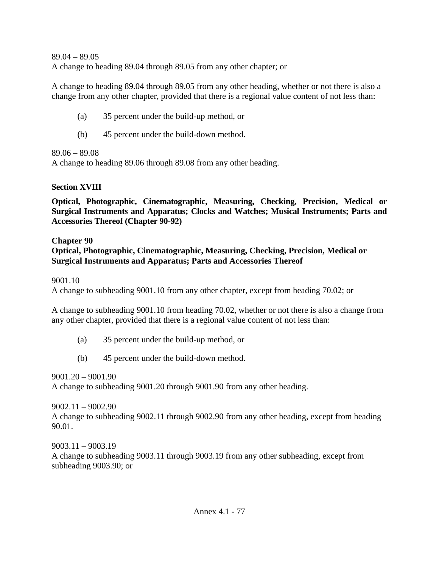89.04 – 89.05 A change to heading 89.04 through 89.05 from any other chapter; or

A change to heading 89.04 through 89.05 from any other heading, whether or not there is also a change from any other chapter, provided that there is a regional value content of not less than:

- (a) 35 percent under the build-up method, or
- (b) 45 percent under the build-down method.

89.06 – 89.08

A change to heading 89.06 through 89.08 from any other heading.

## **Section XVIII**

**Optical, Photographic, Cinematographic, Measuring, Checking, Precision, Medical or Surgical Instruments and Apparatus; Clocks and Watches; Musical Instruments; Parts and Accessories Thereof (Chapter 90-92)** 

## **Chapter 90**

### **Optical, Photographic, Cinematographic, Measuring, Checking, Precision, Medical or Surgical Instruments and Apparatus; Parts and Accessories Thereof**

9001.10

A change to subheading 9001.10 from any other chapter, except from heading 70.02; or

A change to subheading 9001.10 from heading 70.02, whether or not there is also a change from any other chapter, provided that there is a regional value content of not less than:

- (a) 35 percent under the build-up method, or
- (b) 45 percent under the build-down method.

9001.20 – 9001.90 A change to subheading 9001.20 through 9001.90 from any other heading.

9002.11 – 9002.90 A change to subheading 9002.11 through 9002.90 from any other heading, except from heading 90.01.

9003.11 – 9003.19 A change to subheading 9003.11 through 9003.19 from any other subheading, except from subheading 9003.90; or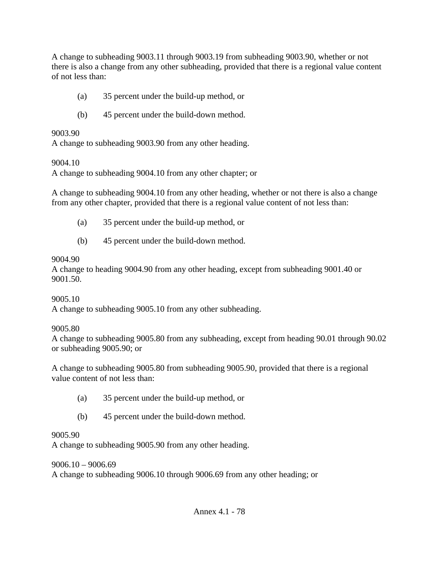A change to subheading 9003.11 through 9003.19 from subheading 9003.90, whether or not there is also a change from any other subheading, provided that there is a regional value content of not less than:

- (a) 35 percent under the build-up method, or
- (b) 45 percent under the build-down method.

#### 9003.90

A change to subheading 9003.90 from any other heading.

#### 9004.10

A change to subheading 9004.10 from any other chapter; or

A change to subheading 9004.10 from any other heading, whether or not there is also a change from any other chapter, provided that there is a regional value content of not less than:

- (a) 35 percent under the build-up method, or
- (b) 45 percent under the build-down method.

### 9004.90

A change to heading 9004.90 from any other heading, except from subheading 9001.40 or 9001.50.

### 9005.10

A change to subheading 9005.10 from any other subheading.

### 9005.80

A change to subheading 9005.80 from any subheading, except from heading 90.01 through 90.02 or subheading 9005.90; or

A change to subheading 9005.80 from subheading 9005.90, provided that there is a regional value content of not less than:

- (a) 35 percent under the build-up method, or
- (b) 45 percent under the build-down method.

### 9005.90

A change to subheading 9005.90 from any other heading.

### 9006.10 – 9006.69

A change to subheading 9006.10 through 9006.69 from any other heading; or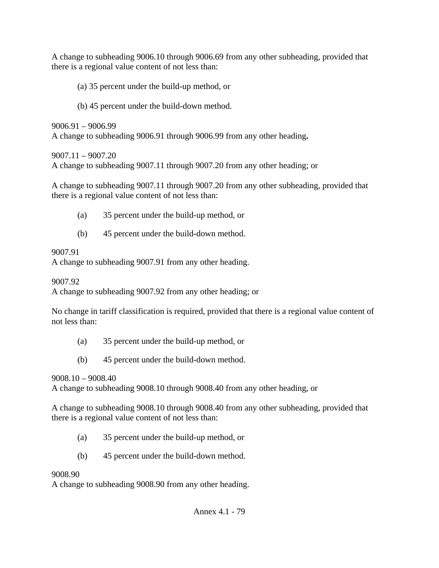A change to subheading 9006.10 through 9006.69 from any other subheading, provided that there is a regional value content of not less than:

(a) 35 percent under the build-up method, or

(b) 45 percent under the build-down method.

9006.91 – 9006.99 A change to subheading 9006.91 through 9006.99 from any other heading**.** 

9007.11 – 9007.20 A change to subheading 9007.11 through 9007.20 from any other heading; or

A change to subheading 9007.11 through 9007.20 from any other subheading, provided that there is a regional value content of not less than:

- (a) 35 percent under the build-up method, or
- (b) 45 percent under the build-down method.

## 9007.91

A change to subheading 9007.91 from any other heading.

9007.92

A change to subheading 9007.92 from any other heading; or

No change in tariff classification is required, provided that there is a regional value content of not less than:

- (a) 35 percent under the build-up method, or
- (b) 45 percent under the build-down method.

## 9008.10 – 9008.40

A change to subheading 9008.10 through 9008.40 from any other heading, or

A change to subheading 9008.10 through 9008.40 from any other subheading, provided that there is a regional value content of not less than:

- (a) 35 percent under the build-up method, or
- (b) 45 percent under the build-down method.

# 9008.90

A change to subheading 9008.90 from any other heading.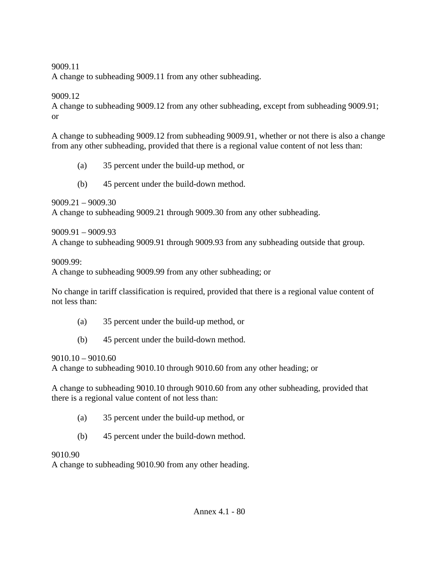A change to subheading 9009.11 from any other subheading.

#### 9009.12

A change to subheading 9009.12 from any other subheading, except from subheading 9009.91; or

A change to subheading 9009.12 from subheading 9009.91, whether or not there is also a change from any other subheading, provided that there is a regional value content of not less than:

- (a) 35 percent under the build-up method, or
- (b) 45 percent under the build-down method.

9009.21 – 9009.30

A change to subheading 9009.21 through 9009.30 from any other subheading.

9009.91 – 9009.93 A change to subheading 9009.91 through 9009.93 from any subheading outside that group.

#### 9009.99:

A change to subheading 9009.99 from any other subheading; or

No change in tariff classification is required, provided that there is a regional value content of not less than:

- (a) 35 percent under the build-up method, or
- (b) 45 percent under the build-down method.

 $9010.10 - 9010.60$ 

A change to subheading 9010.10 through 9010.60 from any other heading; or

A change to subheading 9010.10 through 9010.60 from any other subheading, provided that there is a regional value content of not less than:

- (a) 35 percent under the build-up method, or
- (b) 45 percent under the build-down method.

#### 9010.90

A change to subheading 9010.90 from any other heading.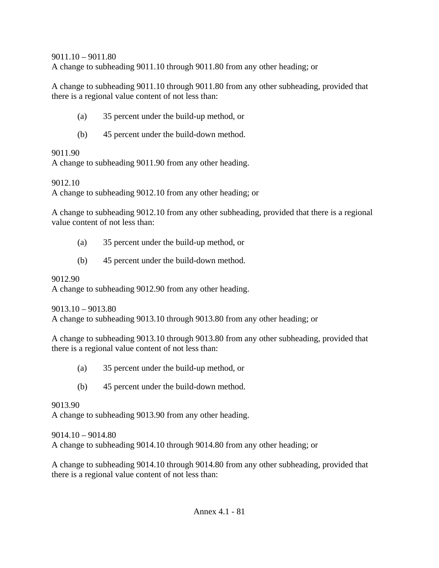9011.10 – 9011.80

A change to subheading 9011.10 through 9011.80 from any other heading; or

A change to subheading 9011.10 through 9011.80 from any other subheading, provided that there is a regional value content of not less than:

- (a) 35 percent under the build-up method, or
- (b) 45 percent under the build-down method.

#### 9011.90

A change to subheading 9011.90 from any other heading.

9012.10

A change to subheading 9012.10 from any other heading; or

A change to subheading 9012.10 from any other subheading, provided that there is a regional value content of not less than:

- (a) 35 percent under the build-up method, or
- (b) 45 percent under the build-down method.

### 9012.90

A change to subheading 9012.90 from any other heading.

9013.10 – 9013.80

A change to subheading 9013.10 through 9013.80 from any other heading; or

A change to subheading 9013.10 through 9013.80 from any other subheading, provided that there is a regional value content of not less than:

- (a) 35 percent under the build-up method, or
- (b) 45 percent under the build-down method.

9013.90

A change to subheading 9013.90 from any other heading.

9014.10 – 9014.80 A change to subheading 9014.10 through 9014.80 from any other heading; or

A change to subheading 9014.10 through 9014.80 from any other subheading, provided that there is a regional value content of not less than: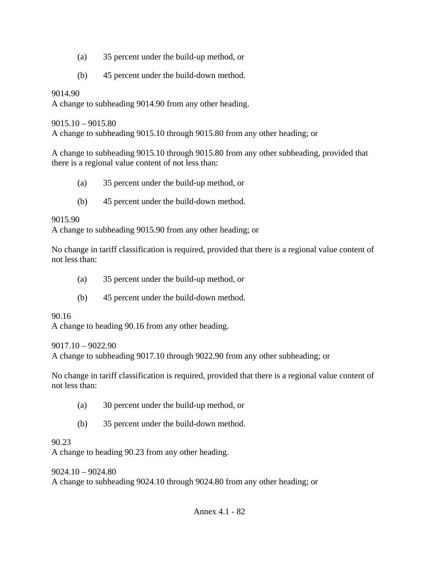- (a) 35 percent under the build-up method, or
- (b) 45 percent under the build-down method.

A change to subheading 9014.90 from any other heading.

 $9015.10 - 9015.80$ 

A change to subheading 9015.10 through 9015.80 from any other heading; or

A change to subheading 9015.10 through 9015.80 from any other subheading, provided that there is a regional value content of not less than:

- (a) 35 percent under the build-up method, or
- (b) 45 percent under the build-down method.

### 9015.90

A change to subheading 9015.90 from any other heading; or

No change in tariff classification is required, provided that there is a regional value content of not less than:

- (a) 35 percent under the build-up method, or
- (b) 45 percent under the build-down method.

90.16

A change to heading 90.16 from any other heading.

9017.10 – 9022.90

A change to subheading 9017.10 through 9022.90 from any other subheading; or

No change in tariff classification is required, provided that there is a regional value content of not less than:

- (a) 30 percent under the build-up method, or
- (b) 35 percent under the build-down method.

### 90.23

A change to heading 90.23 from any other heading.

 $9024.10 - 9024.80$ A change to subheading 9024.10 through 9024.80 from any other heading; or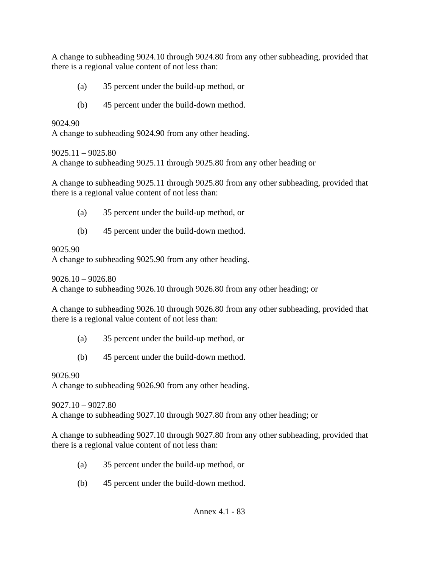A change to subheading 9024.10 through 9024.80 from any other subheading, provided that there is a regional value content of not less than:

- (a) 35 percent under the build-up method, or
- (b) 45 percent under the build-down method.

9024.90

A change to subheading 9024.90 from any other heading.

### $9025.11 - 9025.80$

A change to subheading 9025.11 through 9025.80 from any other heading or

A change to subheading 9025.11 through 9025.80 from any other subheading, provided that there is a regional value content of not less than:

- (a) 35 percent under the build-up method, or
- (b) 45 percent under the build-down method.

### 9025.90

A change to subheading 9025.90 from any other heading.

 $9026.10 - 9026.80$ 

A change to subheading 9026.10 through 9026.80 from any other heading; or

A change to subheading 9026.10 through 9026.80 from any other subheading, provided that there is a regional value content of not less than:

- (a) 35 percent under the build-up method, or
- (b) 45 percent under the build-down method.

## 9026.90

A change to subheading 9026.90 from any other heading.

9027.10 – 9027.80

A change to subheading 9027.10 through 9027.80 from any other heading; or

A change to subheading 9027.10 through 9027.80 from any other subheading, provided that there is a regional value content of not less than:

- (a) 35 percent under the build-up method, or
- (b) 45 percent under the build-down method.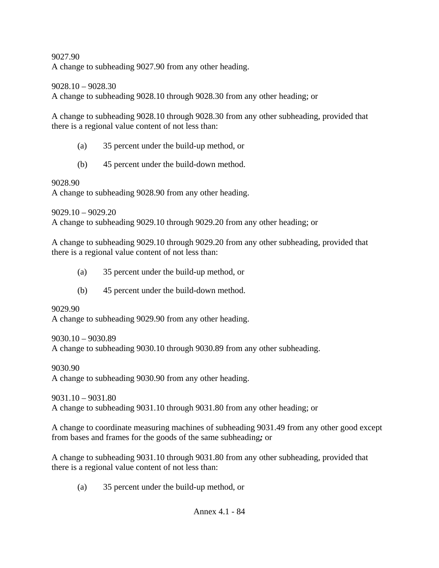A change to subheading 9027.90 from any other heading.

9028.10 – 9028.30

A change to subheading 9028.10 through 9028.30 from any other heading; or

A change to subheading 9028.10 through 9028.30 from any other subheading, provided that there is a regional value content of not less than:

- (a) 35 percent under the build-up method, or
- (b) 45 percent under the build-down method.

9028.90

A change to subheading 9028.90 from any other heading.

9029.10 – 9029.20 A change to subheading 9029.10 through 9029.20 from any other heading; or

A change to subheading 9029.10 through 9029.20 from any other subheading, provided that there is a regional value content of not less than:

- (a) 35 percent under the build-up method, or
- (b) 45 percent under the build-down method.

9029.90

A change to subheading 9029.90 from any other heading.

9030.10 – 9030.89

A change to subheading 9030.10 through 9030.89 from any other subheading.

9030.90

A change to subheading 9030.90 from any other heading.

9031.10 – 9031.80 A change to subheading 9031.10 through 9031.80 from any other heading; or

A change to coordinate measuring machines of subheading 9031.49 from any other good except from bases and frames for the goods of the same subheading*;* or

A change to subheading 9031.10 through 9031.80 from any other subheading, provided that there is a regional value content of not less than:

(a) 35 percent under the build-up method, or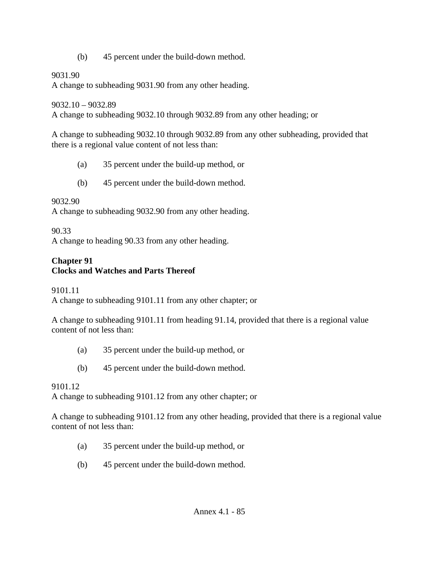(b) 45 percent under the build-down method.

### 9031.90

A change to subheading 9031.90 from any other heading.

9032.10 – 9032.89

A change to subheading 9032.10 through 9032.89 from any other heading; or

A change to subheading 9032.10 through 9032.89 from any other subheading, provided that there is a regional value content of not less than:

- (a) 35 percent under the build-up method, or
- (b) 45 percent under the build-down method.

## 9032.90

A change to subheading 9032.90 from any other heading.

## 90.33

A change to heading 90.33 from any other heading.

## **Chapter 91 Clocks and Watches and Parts Thereof**

9101.11

A change to subheading 9101.11 from any other chapter; or

A change to subheading 9101.11 from heading 91.14, provided that there is a regional value content of not less than:

- (a) 35 percent under the build-up method, or
- (b) 45 percent under the build-down method.

9101.12

A change to subheading 9101.12 from any other chapter; or

A change to subheading 9101.12 from any other heading, provided that there is a regional value content of not less than:

- (a) 35 percent under the build-up method, or
- (b) 45 percent under the build-down method.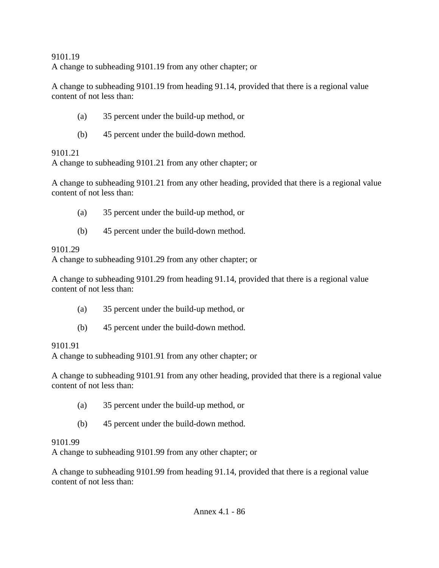### 9101.19 A change to subheading 9101.19 from any other chapter; or

A change to subheading 9101.19 from heading 91.14, provided that there is a regional value content of not less than:

- (a) 35 percent under the build-up method, or
- (b) 45 percent under the build-down method.

# 9101.21

A change to subheading 9101.21 from any other chapter; or

A change to subheading 9101.21 from any other heading, provided that there is a regional value content of not less than:

- (a) 35 percent under the build-up method, or
- (b) 45 percent under the build-down method.

# 9101.29

A change to subheading 9101.29 from any other chapter; or

A change to subheading 9101.29 from heading 91.14, provided that there is a regional value content of not less than:

- (a) 35 percent under the build-up method, or
- (b) 45 percent under the build-down method.

# 9101.91

A change to subheading 9101.91 from any other chapter; or

A change to subheading 9101.91 from any other heading, provided that there is a regional value content of not less than:

- (a) 35 percent under the build-up method, or
- (b) 45 percent under the build-down method.

# 9101.99

A change to subheading 9101.99 from any other chapter; or

A change to subheading 9101.99 from heading 91.14, provided that there is a regional value content of not less than: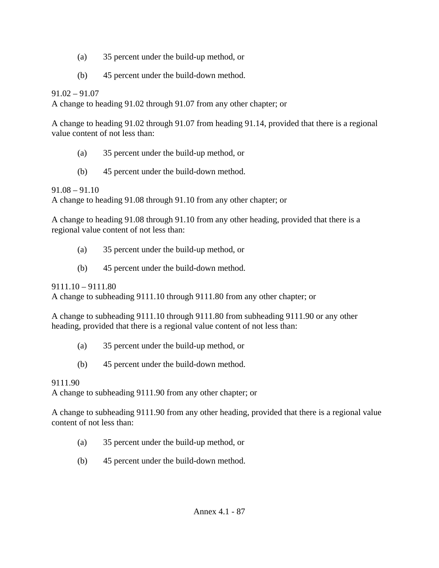- (a) 35 percent under the build-up method, or
- (b) 45 percent under the build-down method.

91.02 – 91.07

A change to heading 91.02 through 91.07 from any other chapter; or

A change to heading 91.02 through 91.07 from heading 91.14, provided that there is a regional value content of not less than:

- (a) 35 percent under the build-up method, or
- (b) 45 percent under the build-down method.

91.08 – 91.10

A change to heading 91.08 through 91.10 from any other chapter; or

A change to heading 91.08 through 91.10 from any other heading, provided that there is a regional value content of not less than:

- (a) 35 percent under the build-up method, or
- (b) 45 percent under the build-down method.

 $9111.10 - 9111.80$ 

A change to subheading 9111.10 through 9111.80 from any other chapter; or

A change to subheading 9111.10 through 9111.80 from subheading 9111.90 or any other heading, provided that there is a regional value content of not less than:

- (a) 35 percent under the build-up method, or
- (b) 45 percent under the build-down method.

# 9111.90

A change to subheading 9111.90 from any other chapter; or

A change to subheading 9111.90 from any other heading, provided that there is a regional value content of not less than:

- (a) 35 percent under the build-up method, or
- (b) 45 percent under the build-down method.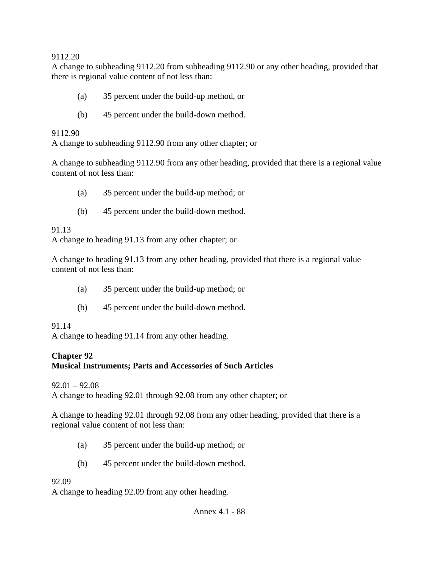A change to subheading 9112.20 from subheading 9112.90 or any other heading, provided that there is regional value content of not less than:

- (a) 35 percent under the build-up method, or
- (b) 45 percent under the build-down method.

#### 9112.90

A change to subheading 9112.90 from any other chapter; or

A change to subheading 9112.90 from any other heading, provided that there is a regional value content of not less than:

- (a) 35 percent under the build-up method; or
- (b) 45 percent under the build-down method.

### 91.13

A change to heading 91.13 from any other chapter; or

A change to heading 91.13 from any other heading, provided that there is a regional value content of not less than:

- (a) 35 percent under the build-up method; or
- (b) 45 percent under the build-down method.

### 91.14

A change to heading 91.14 from any other heading.

### **Chapter 92**

### **Musical Instruments; Parts and Accessories of Such Articles**

 $92.01 - 92.08$ 

A change to heading 92.01 through 92.08 from any other chapter; or

A change to heading 92.01 through 92.08 from any other heading, provided that there is a regional value content of not less than:

- (a) 35 percent under the build-up method; or
- (b) 45 percent under the build-down method.

### 92.09

A change to heading 92.09 from any other heading.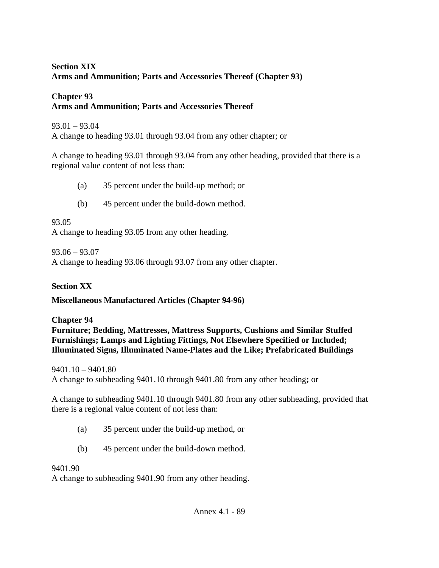### **Section XIX Arms and Ammunition; Parts and Accessories Thereof (Chapter 93)**

### **Chapter 93 Arms and Ammunition; Parts and Accessories Thereof**

93.01 – 93.04 A change to heading 93.01 through 93.04 from any other chapter; or

A change to heading 93.01 through 93.04 from any other heading, provided that there is a regional value content of not less than:

- (a) 35 percent under the build-up method; or
- (b) 45 percent under the build-down method.

93.05

A change to heading 93.05 from any other heading.

93.06 – 93.07

A change to heading 93.06 through 93.07 from any other chapter.

# **Section XX**

**Miscellaneous Manufactured Articles (Chapter 94-96)** 

# **Chapter 94**

**Furniture; Bedding, Mattresses, Mattress Supports, Cushions and Similar Stuffed Furnishings; Lamps and Lighting Fittings, Not Elsewhere Specified or Included; Illuminated Signs, Illuminated Name-Plates and the Like; Prefabricated Buildings** 

9401.10 – 9401.80

A change to subheading 9401.10 through 9401.80 from any other heading**;** or

A change to subheading 9401.10 through 9401.80 from any other subheading, provided that there is a regional value content of not less than:

- (a) 35 percent under the build-up method, or
- (b) 45 percent under the build-down method.

9401.90

A change to subheading 9401.90 from any other heading.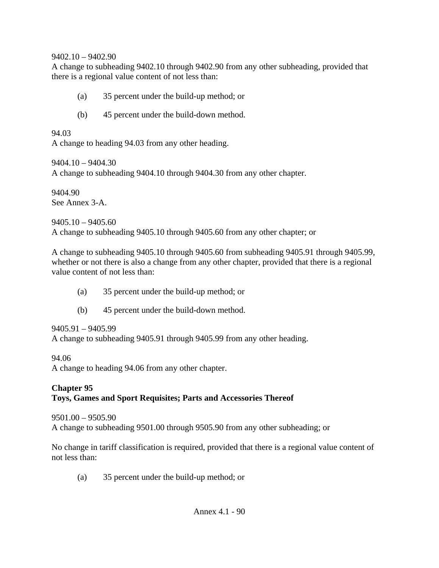#### 9402.10 – 9402.90

A change to subheading 9402.10 through 9402.90 from any other subheading, provided that there is a regional value content of not less than:

- (a) 35 percent under the build-up method; or
- (b) 45 percent under the build-down method.

94.03 A change to heading 94.03 from any other heading.

9404.10 – 9404.30 A change to subheading 9404.10 through 9404.30 from any other chapter.

9404.90 See Annex 3-A.

 $9405.10 - 9405.60$ A change to subheading 9405.10 through 9405.60 from any other chapter; or

A change to subheading 9405.10 through 9405.60 from subheading 9405.91 through 9405.99, whether or not there is also a change from any other chapter, provided that there is a regional value content of not less than:

- (a) 35 percent under the build-up method; or
- (b) 45 percent under the build-down method.

9405.91 – 9405.99

A change to subheading 9405.91 through 9405.99 from any other heading.

94.06

A change to heading 94.06 from any other chapter.

### **Chapter 95 Toys, Games and Sport Requisites; Parts and Accessories Thereof**

9501.00 – 9505.90 A change to subheading 9501.00 through 9505.90 from any other subheading; or

No change in tariff classification is required, provided that there is a regional value content of not less than:

(a) 35 percent under the build-up method; or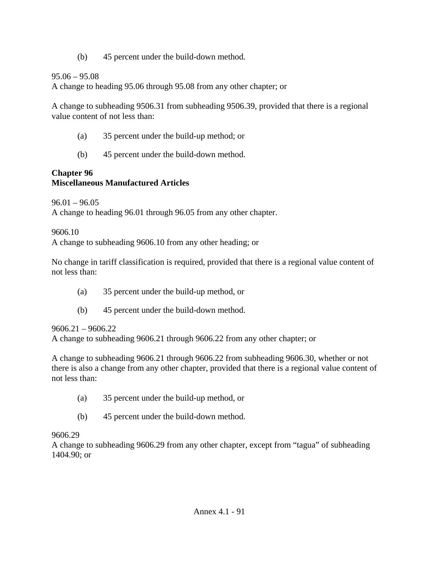(b) 45 percent under the build-down method.

## 95.06 – 95.08

A change to heading 95.06 through 95.08 from any other chapter; or

A change to subheading 9506.31 from subheading 9506.39, provided that there is a regional value content of not less than:

- (a) 35 percent under the build-up method; or
- (b) 45 percent under the build-down method.

## **Chapter 96 Miscellaneous Manufactured Articles**

 $96.01 - 96.05$ 

A change to heading 96.01 through 96.05 from any other chapter.

## 9606.10

A change to subheading 9606.10 from any other heading; or

No change in tariff classification is required, provided that there is a regional value content of not less than:

- (a) 35 percent under the build-up method, or
- (b) 45 percent under the build-down method.

# 9606.21 – 9606.22

A change to subheading 9606.21 through 9606.22 from any other chapter; or

A change to subheading 9606.21 through 9606.22 from subheading 9606.30, whether or not there is also a change from any other chapter, provided that there is a regional value content of not less than:

- (a) 35 percent under the build-up method, or
- (b) 45 percent under the build-down method.

## 9606.29

A change to subheading 9606.29 from any other chapter, except from "tagua" of subheading 1404.90; or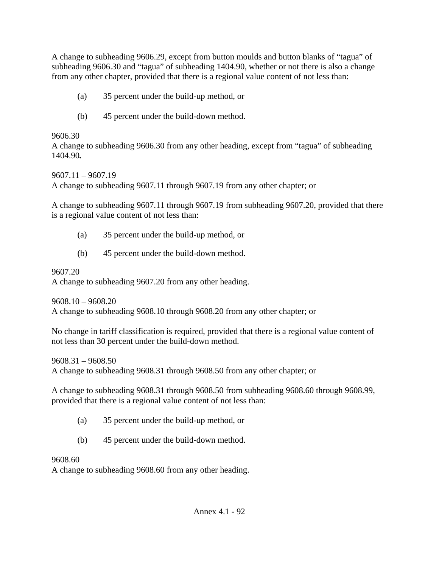A change to subheading 9606.29, except from button moulds and button blanks of "tagua" of subheading 9606.30 and "tagua" of subheading 1404.90, whether or not there is also a change from any other chapter, provided that there is a regional value content of not less than:

- (a) 35 percent under the build-up method, or
- (b) 45 percent under the build-down method.

## 9606.30

A change to subheading 9606.30 from any other heading, except from "tagua" of subheading 1404.90*.* 

9607.11 – 9607.19 A change to subheading 9607.11 through 9607.19 from any other chapter; or

A change to subheading 9607.11 through 9607.19 from subheading 9607.20, provided that there is a regional value content of not less than:

- (a) 35 percent under the build-up method, or
- (b) 45 percent under the build-down method.

# 9607.20

A change to subheading 9607.20 from any other heading.

9608.10 – 9608.20 A change to subheading 9608.10 through 9608.20 from any other chapter; or

No change in tariff classification is required, provided that there is a regional value content of not less than 30 percent under the build-down method.

9608.31 – 9608.50 A change to subheading 9608.31 through 9608.50 from any other chapter; or

A change to subheading 9608.31 through 9608.50 from subheading 9608.60 through 9608.99, provided that there is a regional value content of not less than:

- (a) 35 percent under the build-up method, or
- (b) 45 percent under the build-down method.

9608.60

A change to subheading 9608.60 from any other heading.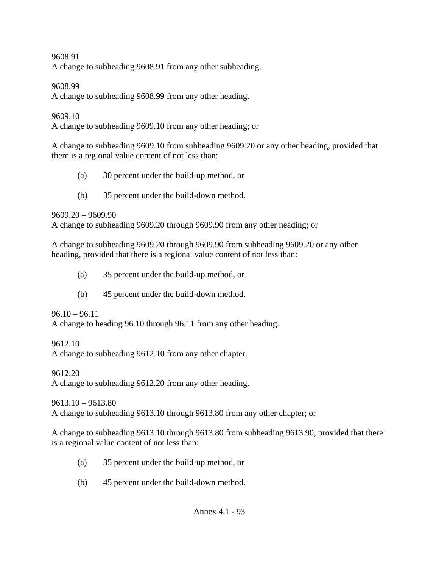A change to subheading 9608.91 from any other subheading.

#### 9608.99

A change to subheading 9608.99 from any other heading.

#### 9609.10

A change to subheading 9609.10 from any other heading; or

A change to subheading 9609.10 from subheading 9609.20 or any other heading, provided that there is a regional value content of not less than:

- (a) 30 percent under the build-up method, or
- (b) 35 percent under the build-down method.

9609.20 – 9609.90

A change to subheading 9609.20 through 9609.90 from any other heading; or

A change to subheading 9609.20 through 9609.90 from subheading 9609.20 or any other heading, provided that there is a regional value content of not less than:

- (a) 35 percent under the build-up method, or
- (b) 45 percent under the build-down method.

 $96.10 - 96.11$ 

A change to heading 96.10 through 96.11 from any other heading.

9612.10

A change to subheading 9612.10 from any other chapter.

9612.20

A change to subheading 9612.20 from any other heading.

9613.10 – 9613.80

A change to subheading 9613.10 through 9613.80 from any other chapter; or

A change to subheading 9613.10 through 9613.80 from subheading 9613.90, provided that there is a regional value content of not less than:

- (a) 35 percent under the build-up method, or
- (b) 45 percent under the build-down method.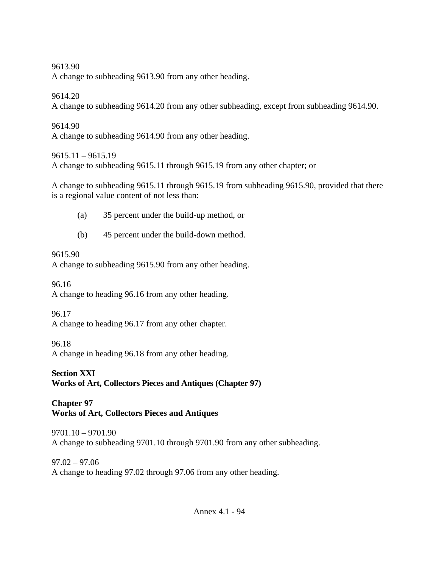A change to subheading 9613.90 from any other heading.

9614.20

A change to subheading 9614.20 from any other subheading, except from subheading 9614.90.

9614.90 A change to subheading 9614.90 from any other heading.

9615.11 – 9615.19

A change to subheading 9615.11 through 9615.19 from any other chapter; or

A change to subheading 9615.11 through 9615.19 from subheading 9615.90, provided that there is a regional value content of not less than:

- (a) 35 percent under the build-up method, or
- (b) 45 percent under the build-down method.

# 9615.90

A change to subheading 9615.90 from any other heading.

96.16 A change to heading 96.16 from any other heading.

96.17 A change to heading 96.17 from any other chapter.

96.18 A change in heading 96.18 from any other heading.

**Section XXI Works of Art, Collectors Pieces and Antiques (Chapter 97)** 

**Chapter 97 Works of Art, Collectors Pieces and Antiques** 

9701.10 – 9701.90 A change to subheading 9701.10 through 9701.90 from any other subheading.

97.02 – 97.06 A change to heading 97.02 through 97.06 from any other heading.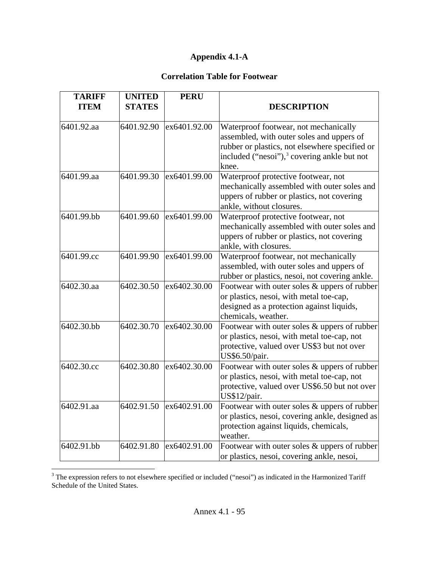### **Appendix 4.1-A**

### **Correlation Table for Footwear**

| <b>TARIFF</b> | <b>UNITED</b> | <b>PERU</b>  |                                                                                                                                                                                                          |
|---------------|---------------|--------------|----------------------------------------------------------------------------------------------------------------------------------------------------------------------------------------------------------|
| <b>ITEM</b>   | <b>STATES</b> |              | <b>DESCRIPTION</b>                                                                                                                                                                                       |
| 6401.92.aa    | 6401.92.90    | ex6401.92.00 | Waterproof footwear, not mechanically<br>assembled, with outer soles and uppers of<br>rubber or plastics, not elsewhere specified or<br>included ("nesoi"), <sup>3</sup> covering ankle but not<br>knee. |
| 6401.99.aa    | 6401.99.30    | ex6401.99.00 | Waterproof protective footwear, not<br>mechanically assembled with outer soles and<br>uppers of rubber or plastics, not covering<br>ankle, without closures.                                             |
| 6401.99.bb    | 6401.99.60    | ex6401.99.00 | Waterproof protective footwear, not<br>mechanically assembled with outer soles and<br>uppers of rubber or plastics, not covering<br>ankle, with closures.                                                |
| 6401.99.cc    | 6401.99.90    | ex6401.99.00 | Waterproof footwear, not mechanically<br>assembled, with outer soles and uppers of<br>rubber or plastics, nesoi, not covering ankle.                                                                     |
| 6402.30.aa    | 6402.30.50    | ex6402.30.00 | Footwear with outer soles & uppers of rubber<br>or plastics, nesoi, with metal toe-cap,<br>designed as a protection against liquids,<br>chemicals, weather.                                              |
| 6402.30.bb    | 6402.30.70    | ex6402.30.00 | Footwear with outer soles & uppers of rubber<br>or plastics, nesoi, with metal toe-cap, not<br>protective, valued over US\$3 but not over<br>US\$6.50/pair.                                              |
| 6402.30.cc    | 6402.30.80    | ex6402.30.00 | Footwear with outer soles $&$ uppers of rubber<br>or plastics, nesoi, with metal toe-cap, not<br>protective, valued over US\$6.50 but not over<br>US\$12/pair.                                           |
| 6402.91.aa    | 6402.91.50    | ex6402.91.00 | Footwear with outer soles & uppers of rubber<br>or plastics, nesoi, covering ankle, designed as<br>protection against liquids, chemicals,<br>weather.                                                    |
| 6402.91.bb    | 6402.91.80    | ex6402.91.00 | Footwear with outer soles & uppers of rubber<br>or plastics, nesoi, covering ankle, nesoi,                                                                                                               |

<span id="page-94-0"></span><sup>&</sup>lt;sup>3</sup> The expression refers to not elsewhere specified or included ("nesoi") as indicated in the Harmonized Tariff Schedule of the United States.